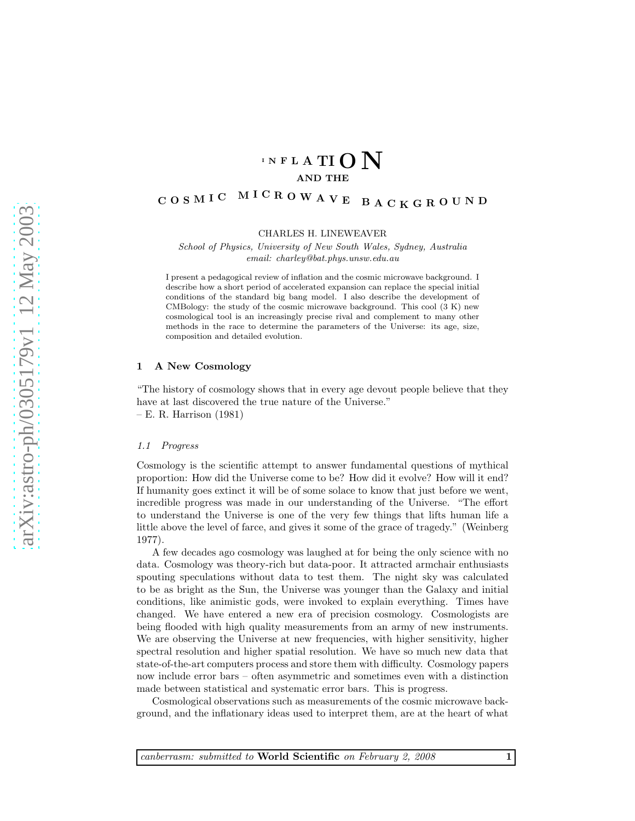# INFLATION AND THE

# <sup>C</sup> <sup>O</sup> <sup>S</sup> <sup>M</sup> <sup>I</sup> <sup>C</sup> <sup>M</sup> I C <sup>R</sup> <sup>O</sup> <sup>W</sup> <sup>A</sup> <sup>V</sup> <sup>E</sup> <sup>B</sup> <sup>A</sup> <sup>C</sup> <sup>K</sup> <sup>G</sup> <sup>R</sup> <sup>O</sup> <sup>U</sup> N D

CHARLES H. LINEWEAVER

*School of Physics, University of New South Wales, Sydney, Australia email: charley@bat.phys.unsw.edu.au*

I present a pedagogical review of inflation and the cosmic microwave background. I describe how a short period of accelerated expansion can replace the special initial conditions of the standard big bang model. I also describe the development of CMBology: the study of the cosmic microwave background. This cool (3 K) new cosmological tool is an increasingly precise rival and complement to many other methods in the race to determine the parameters of the Universe: its age, size, composition and detailed evolution.

#### 1 A New Cosmology

"The history of cosmology shows that in every age devout people believe that they have at last discovered the true nature of the Universe." – E. R. Harrison (1981)

#### *1.1 Progress*

Cosmology is the scientific attempt to answer fundamental questions of mythical proportion: How did the Universe come to be? How did it evolve? How will it end? If humanity goes extinct it will be of some solace to know that just before we went, incredible progress was made in our understanding of the Universe. "The effort to understand the Universe is one of the very few things that lifts human life a little above the level of farce, and gives it some of the grace of tragedy." (Weinberg 1977).

A few decades ago cosmology was laughed at for being the only science with no data. Cosmology was theory-rich but data-poor. It attracted armchair enthusiasts spouting speculations without data to test them. The night sky was calculated to be as bright as the Sun, the Universe was younger than the Galaxy and initial conditions, like animistic gods, were invoked to explain everything. Times have changed. We have entered a new era of precision cosmology. Cosmologists are being flooded with high quality measurements from an army of new instruments. We are observing the Universe at new frequencies, with higher sensitivity, higher spectral resolution and higher spatial resolution. We have so much new data that state-of-the-art computers process and store them with difficulty. Cosmology papers now include error bars – often asymmetric and sometimes even with a distinction made between statistical and systematic error bars. This is progress.

Cosmological observations such as measurements of the cosmic microwave background, and the inflationary ideas used to interpret them, are at the heart of what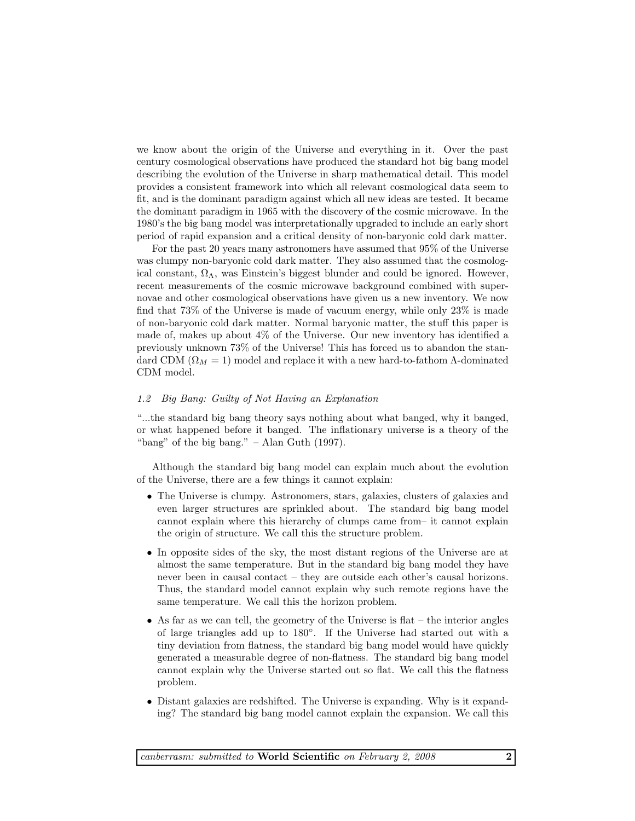we know about the origin of the Universe and everything in it. Over the past century cosmological observations have produced the standard hot big bang model describing the evolution of the Universe in sharp mathematical detail. This model provides a consistent framework into which all relevant cosmological data seem to fit, and is the dominant paradigm against which all new ideas are tested. It became the dominant paradigm in 1965 with the discovery of the cosmic microwave. In the 1980's the big bang model was interpretationally upgraded to include an early short period of rapid expansion and a critical density of non-baryonic cold dark matter.

For the past 20 years many astronomers have assumed that 95% of the Universe was clumpy non-baryonic cold dark matter. They also assumed that the cosmological constant,  $\Omega_{\Lambda}$ , was Einstein's biggest blunder and could be ignored. However, recent measurements of the cosmic microwave background combined with supernovae and other cosmological observations have given us a new inventory. We now find that 73% of the Universe is made of vacuum energy, while only 23% is made of non-baryonic cold dark matter. Normal baryonic matter, the stuff this paper is made of, makes up about 4% of the Universe. Our new inventory has identified a previously unknown 73% of the Universe! This has forced us to abandon the standard CDM  $(\Omega_M = 1)$  model and replace it with a new hard-to-fathom  $\Lambda$ -dominated CDM model.

#### *1.2 Big Bang: Guilty of Not Having an Explanation*

"...the standard big bang theory says nothing about what banged, why it banged, or what happened before it banged. The inflationary universe is a theory of the "bang" of the big bang." – Alan Guth  $(1997)$ .

Although the standard big bang model can explain much about the evolution of the Universe, there are a few things it cannot explain:

- The Universe is clumpy. Astronomers, stars, galaxies, clusters of galaxies and even larger structures are sprinkled about. The standard big bang model cannot explain where this hierarchy of clumps came from– it cannot explain the origin of structure. We call this the structure problem.
- In opposite sides of the sky, the most distant regions of the Universe are at almost the same temperature. But in the standard big bang model they have never been in causal contact – they are outside each other's causal horizons. Thus, the standard model cannot explain why such remote regions have the same temperature. We call this the horizon problem.
- As far as we can tell, the geometry of the Universe is flat the interior angles of large triangles add up to 180◦ . If the Universe had started out with a tiny deviation from flatness, the standard big bang model would have quickly generated a measurable degree of non-flatness. The standard big bang model cannot explain why the Universe started out so flat. We call this the flatness problem.
- Distant galaxies are redshifted. The Universe is expanding. Why is it expanding? The standard big bang model cannot explain the expansion. We call this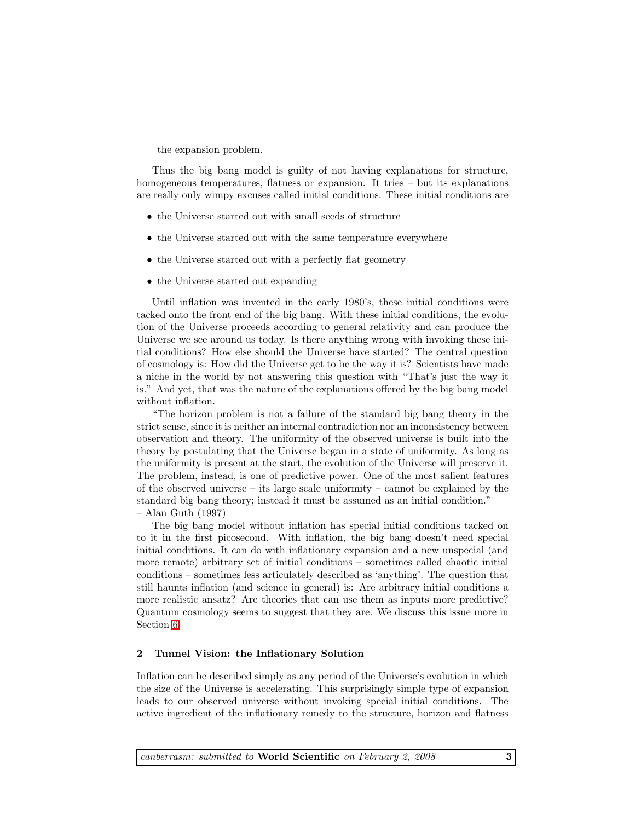the expansion problem.

Thus the big bang model is guilty of not having explanations for structure, homogeneous temperatures, flatness or expansion. It tries – but its explanations are really only wimpy excuses called initial conditions. These initial conditions are

- the Universe started out with small seeds of structure
- the Universe started out with the same temperature everywhere
- the Universe started out with a perfectly flat geometry
- the Universe started out expanding

Until inflation was invented in the early 1980's, these initial conditions were tacked onto the front end of the big bang. With these initial conditions, the evolution of the Universe proceeds according to general relativity and can produce the Universe we see around us today. Is there anything wrong with invoking these initial conditions? How else should the Universe have started? The central question of cosmology is: How did the Universe get to be the way it is? Scientists have made a niche in the world by not answering this question with "That's just the way it is." And yet, that was the nature of the explanations offered by the big bang model without inflation.

"The horizon problem is not a failure of the standard big bang theory in the strict sense, since it is neither an internal contradiction nor an inconsistency between observation and theory. The uniformity of the observed universe is built into the theory by postulating that the Universe began in a state of uniformity. As long as the uniformity is present at the start, the evolution of the Universe will preserve it. The problem, instead, is one of predictive power. One of the most salient features of the observed universe – its large scale uniformity – cannot be explained by the standard big bang theory; instead it must be assumed as an initial condition."

– Alan Guth (1997)

The big bang model without inflation has special initial conditions tacked on to it in the first picosecond. With inflation, the big bang doesn't need special initial conditions. It can do with inflationary expansion and a new unspecial (and more remote) arbitrary set of initial conditions – sometimes called chaotic initial conditions – sometimes less articulately described as 'anything'. The question that still haunts inflation (and science in general) is: Are arbitrary initial conditions a more realistic ansatz? Are theories that can use them as inputs more predictive? Quantum cosmology seems to suggest that they are. We discuss this issue more in Section [6.](#page-18-0)

#### 2 Tunnel Vision: the Inflationary Solution

Inflation can be described simply as any period of the Universe's evolution in which the size of the Universe is accelerating. This surprisingly simple type of expansion leads to our observed universe without invoking special initial conditions. The active ingredient of the inflationary remedy to the structure, horizon and flatness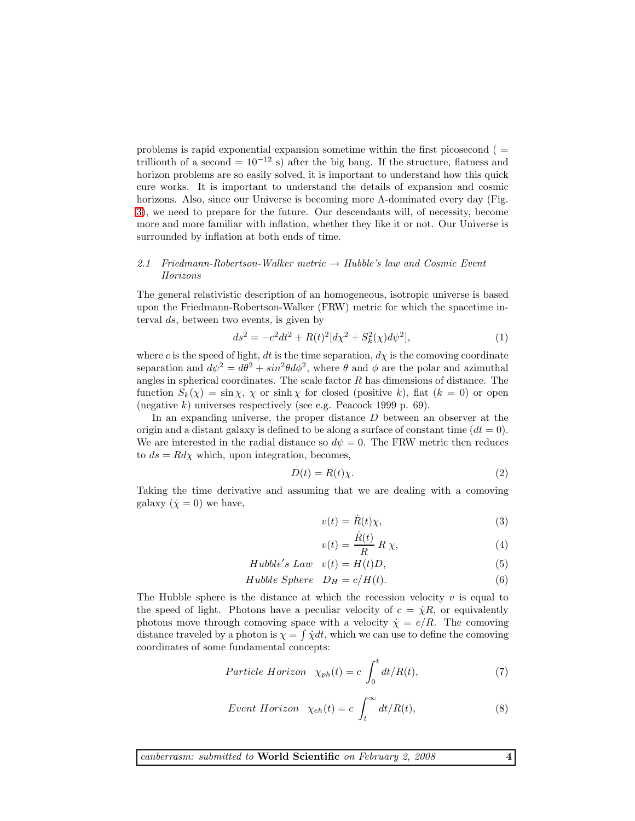problems is rapid exponential expansion sometime within the first picosecond ( $=$ trillionth of a second =  $10^{-12}$  s) after the big bang. If the structure, flatness and horizon problems are so easily solved, it is important to understand how this quick cure works. It is important to understand the details of expansion and cosmic horizons. Also, since our Universe is becoming more Λ-dominated every day (Fig. [3\)](#page-7-0), we need to prepare for the future. Our descendants will, of necessity, become more and more familiar with inflation, whether they like it or not. Our Universe is surrounded by inflation at both ends of time.

# *2.1 Friedmann-Robertson-Walker metric* → *Hubble's law and Cosmic Event Horizons*

<span id="page-3-2"></span>The general relativistic description of an homogeneous, isotropic universe is based upon the Friedmann-Robertson-Walker (FRW) metric for which the spacetime interval ds, between two events, is given by

$$
ds^{2} = -c^{2}dt^{2} + R(t)^{2}[d\chi^{2} + S_{k}^{2}(\chi)d\psi^{2}],
$$
\n(1)

where c is the speed of light, dt is the time separation,  $d\chi$  is the comoving coordinate separation and  $d\psi^2 = d\theta^2 + \sin^2\theta d\phi^2$ , where  $\theta$  and  $\phi$  are the polar and azimuthal angles in spherical coordinates. The scale factor  $R$  has dimensions of distance. The function  $S_k(\chi) = \sin \chi$ ,  $\chi$  or  $\sinh \chi$  for closed (positive k), flat  $(k = 0)$  or open (negative  $k$ ) universes respectively (see e.g. Peacock 1999 p. 69).

In an expanding universe, the proper distance  $D$  between an observer at the origin and a distant galaxy is defined to be along a surface of constant time  $(dt = 0)$ . We are interested in the radial distance so  $d\psi = 0$ . The FRW metric then reduces to  $ds = Rd\chi$  which, upon integration, becomes,

$$
D(t) = R(t)\chi.
$$
 (2)

Taking the time derivative and assuming that we are dealing with a comoving galaxy  $(\dot{\chi} = 0)$  we have,

$$
v(t) = \dot{R}(t)\chi,\tag{3}
$$

$$
v(t) = \frac{\dot{R}(t)}{R} R \chi,\tag{4}
$$

<span id="page-3-0"></span>
$$
Hubble's Law \quad v(t) = H(t)D,\tag{5}
$$

Hubble Sphere 
$$
D_H = c/H(t)
$$
. (6)

The Hubble sphere is the distance at which the recession velocity  $v$  is equal to the speed of light. Photons have a peculiar velocity of  $c = \dot{\chi}R$ , or equivalently photons move through comoving space with a velocity  $\dot{\chi} = c/R$ . The comoving distance traveled by a photon is  $\chi = \int \dot{\chi} dt$ , which we can use to define the comoving coordinates of some fundamental concepts:

$$
Particle\ Horizon \quad \chi_{ph}(t) = c \int_0^t dt/R(t), \tag{7}
$$

<span id="page-3-1"></span>*Event Horizon* 
$$
\chi_{eh}(t) = c \int_{t}^{\infty} dt/R(t)
$$
, (8)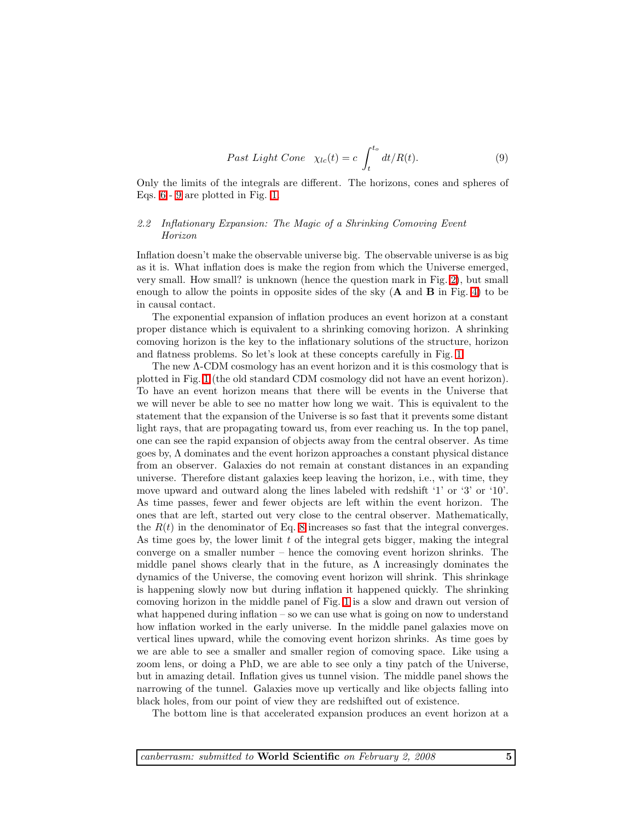$$
Fast Light Cone \quad \chi_{lc}(t) = c \int_{t}^{t_o} dt/R(t). \tag{9}
$$

<span id="page-4-0"></span>Only the limits of the integrals are different. The horizons, cones and spheres of Eqs. [6](#page-3-0) - [9](#page-4-0) are plotted in Fig. [1.](#page-5-0)

# <span id="page-4-1"></span>*2.2 Inflationary Expansion: The Magic of a Shrinking Comoving Event Horizon*

Inflation doesn't make the observable universe big. The observable universe is as big as it is. What inflation does is make the region from which the Universe emerged, very small. How small? is unknown (hence the question mark in Fig. [2\)](#page-6-0), but small enough to allow the points in opposite sides of the sky  $(A \text{ and } B \text{ in Fig. 4})$  to be in causal contact.

The exponential expansion of inflation produces an event horizon at a constant proper distance which is equivalent to a shrinking comoving horizon. A shrinking comoving horizon is the key to the inflationary solutions of the structure, horizon and flatness problems. So let's look at these concepts carefully in Fig. [1.](#page-5-0)

The new Λ-CDM cosmology has an event horizon and it is this cosmology that is plotted in Fig. [1](#page-5-0) (the old standard CDM cosmology did not have an event horizon). To have an event horizon means that there will be events in the Universe that we will never be able to see no matter how long we wait. This is equivalent to the statement that the expansion of the Universe is so fast that it prevents some distant light rays, that are propagating toward us, from ever reaching us. In the top panel, one can see the rapid expansion of objects away from the central observer. As time goes by,  $\Lambda$  dominates and the event horizon approaches a constant physical distance from an observer. Galaxies do not remain at constant distances in an expanding universe. Therefore distant galaxies keep leaving the horizon, i.e., with time, they move upward and outward along the lines labeled with redshift '1' or '3' or '10'. As time passes, fewer and fewer objects are left within the event horizon. The ones that are left, started out very close to the central observer. Mathematically, the  $R(t)$  in the denominator of Eq. [8](#page-3-1) increases so fast that the integral converges. As time goes by, the lower limit  $t$  of the integral gets bigger, making the integral converge on a smaller number – hence the comoving event horizon shrinks. The middle panel shows clearly that in the future, as  $\Lambda$  increasingly dominates the dynamics of the Universe, the comoving event horizon will shrink. This shrinkage is happening slowly now but during inflation it happened quickly. The shrinking comoving horizon in the middle panel of Fig. [1](#page-5-0) is a slow and drawn out version of what happened during inflation – so we can use what is going on now to understand how inflation worked in the early universe. In the middle panel galaxies move on vertical lines upward, while the comoving event horizon shrinks. As time goes by we are able to see a smaller and smaller region of comoving space. Like using a zoom lens, or doing a PhD, we are able to see only a tiny patch of the Universe, but in amazing detail. Inflation gives us tunnel vision. The middle panel shows the narrowing of the tunnel. Galaxies move up vertically and like objects falling into black holes, from our point of view they are redshifted out of existence.

The bottom line is that accelerated expansion produces an event horizon at a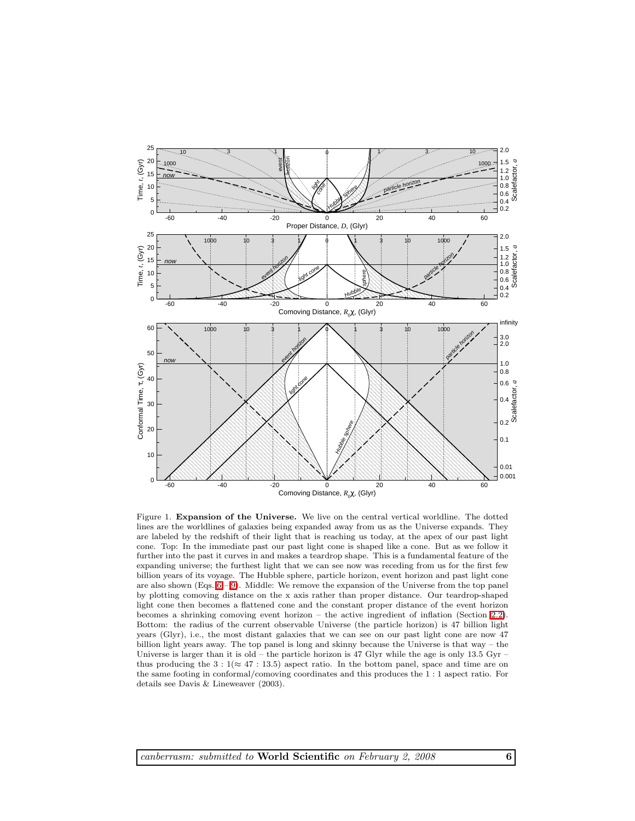

<span id="page-5-0"></span>Figure 1. Expansion of the Universe. We live on the central vertical worldline. The dotted lines are the worldlines of galaxies being expanded away from us as the Universe expands. They are labeled by the redshift of their light that is reaching us today, at the apex of our past light cone. Top: In the immediate past our past light cone is shaped like a cone. But as we follow it further into the past it curves in and makes a teardrop shape. This is a fundamental feature of the expanding universe; the furthest light that we can see now was receding from us for the first few billion years of its voyage. The Hubble sphere, particle horizon, event horizon and past light cone are also shown (Eqs.  $6 - 9$ ). Middle: We remove the expansion of the Universe from the top panel by plotting comoving distance on the x axis rather than proper distance. Our teardrop-shaped light cone then becomes a flattened cone and the constant proper distance of the event horizon becomes a shrinking comoving event horizon – the active ingredient of inflation (Section [2.2\)](#page-4-1). Bottom: the radius of the current observable Universe (the particle horizon) is 47 billion light years (Glyr), i.e., the most distant galaxies that we can see on our past light cone are now 47 billion light years away. The top panel is long and skinny because the Universe is that way – the Universe is larger than it is old – the particle horizon is  $47$  Glyr while the age is only 13.5 Gyr – thus producing the 3 :  $1(\approx 47 : 13.5)$  aspect ratio. In the bottom panel, space and time are on the same footing in conformal/comoving coordinates and this produces the 1 : 1 aspect ratio. For details see Davis & Lineweaver (2003).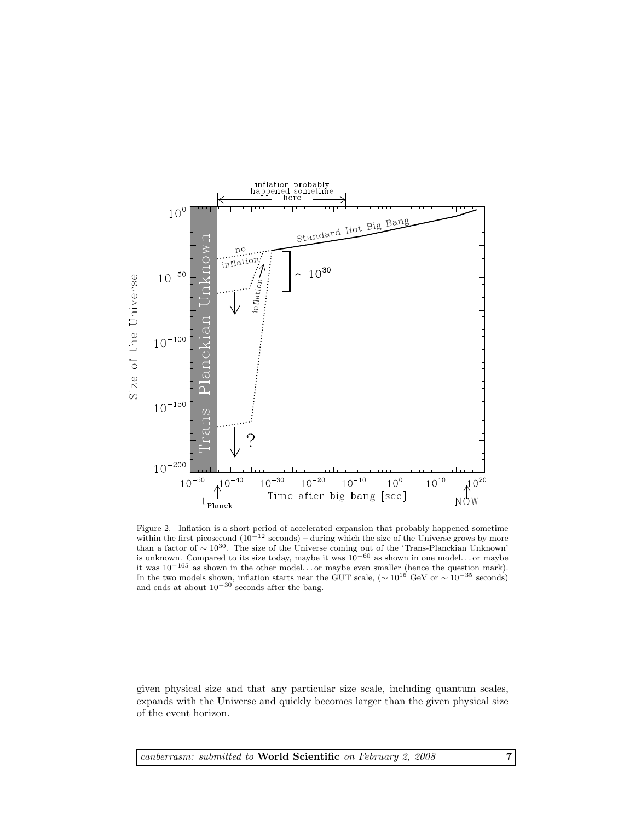

<span id="page-6-0"></span>Figure 2. Inflation is a short period of accelerated expansion that probably happened sometime within the first picosecond  $(10^{-12} \text{ seconds})$  – during which the size of the Universe grows by more than a factor of ∼ 1030. The size of the Universe coming out of the 'Trans-Planckian Unknown' is unknown. Compared to its size today, maybe it was  $10^{-60}$  as shown in one model... or maybe it was  $10^{-165}$  as shown in the other model... or maybe even smaller (hence the question mark). In the two models shown, inflation starts near the GUT scale, ( $\sim 10^{16}$  GeV or  $\sim 10^{-35}$  seconds) and ends at about  $10^{-30}$  seconds after the bang.

given physical size and that any particular size scale, including quantum scales, expands with the Universe and quickly becomes larger than the given physical size of the event horizon.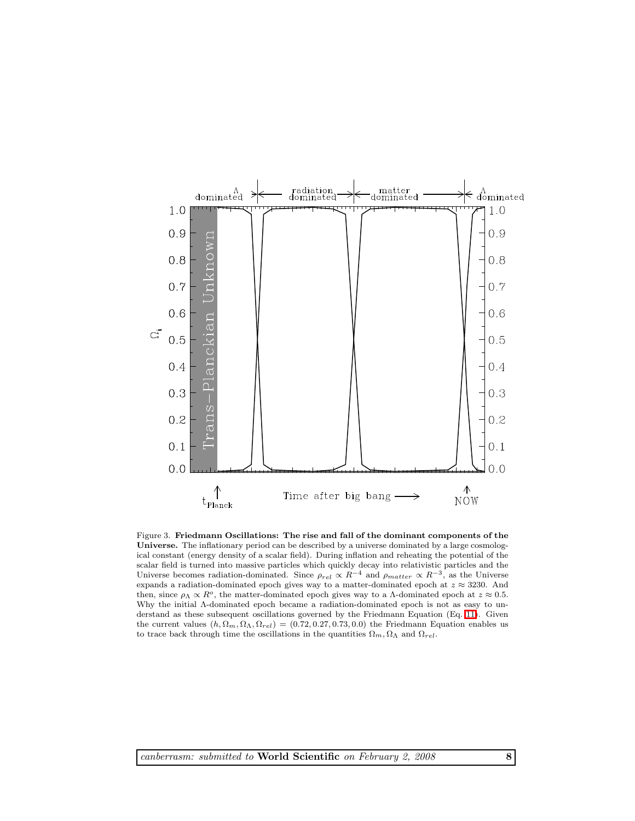

<span id="page-7-0"></span>Figure 3. Friedmann Oscillations: The rise and fall of the dominant components of the Universe. The inflationary period can be described by a universe dominated by a large cosmological constant (energy density of a scalar field). During inflation and reheating the potential of the scalar field is turned into massive particles which quickly decay into relativistic particles and the Universe<br>Universe becomes radiation-dominated. Since  $\rho_{rel} \propto R^{-4}$  and  $\rho_{matter} \propto R^{-3}$ , as the Universe expands a radiation-dominated epoch gives way to a matter-dominated epoch at  $z \approx 3230$ . And then, since  $\rho_{\Lambda} \propto R^o$ , the matter-dominated epoch gives way to a  $\Lambda$ -dominated epoch at  $z \approx 0.5$ . Why the initial Λ-dominated epoch became a radiation-dominated epoch is not as easy to understand as these subsequent oscillations governed by the Friedmann Equation (Eq. [11\)](#page-8-0). Given the current values  $(h, \Omega_m, \Omega_\Lambda, \Omega_{rel}) = (0.72, 0.27, 0.73, 0.0)$  the Friedmann Equation enables us to trace back through time the oscillations in the quantities  $\Omega_m, \Omega_\Lambda$  and  $\Omega_{rel}$ .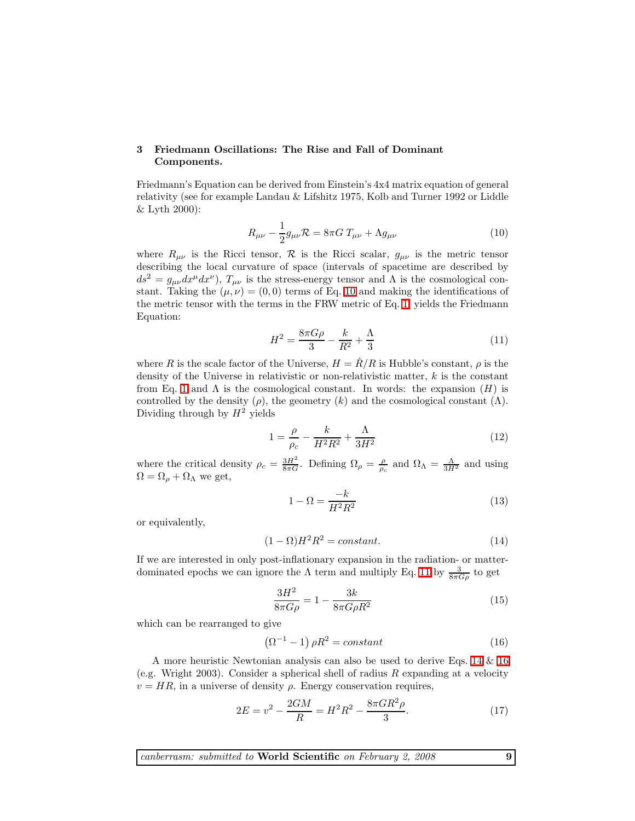# 3 Friedmann Oscillations: The Rise and Fall of Dominant Components.

<span id="page-8-1"></span>Friedmann's Equation can be derived from Einstein's 4x4 matrix equation of general relativity (see for example Landau & Lifshitz 1975, Kolb and Turner 1992 or Liddle & Lyth 2000):

$$
R_{\mu\nu} - \frac{1}{2}g_{\mu\nu}\mathcal{R} = 8\pi G T_{\mu\nu} + \Lambda g_{\mu\nu}
$$
 (10)

where  $R_{\mu\nu}$  is the Ricci tensor,  $\mathcal R$  is the Ricci scalar,  $g_{\mu\nu}$  is the metric tensor describing the local curvature of space (intervals of spacetime are described by  $ds^2 = g_{\mu\nu} dx^{\mu} dx^{\nu}$ ,  $T_{\mu\nu}$  is the stress-energy tensor and  $\Lambda$  is the cosmological constant. Taking the  $(\mu, \nu) = (0, 0)$  terms of Eq. [10](#page-8-1) and making the identifications of the metric tensor with the terms in the FRW metric of Eq. [1,](#page-3-2) yields the Friedmann Equation:

$$
H^{2} = \frac{8\pi G\rho}{3} - \frac{k}{R^{2}} + \frac{\Lambda}{3}
$$
 (11)

<span id="page-8-0"></span>where R is the scale factor of the Universe,  $H = \dot{R}/R$  is Hubble's constant,  $\rho$  is the density of the Universe in relativistic or non-relativistic matter, k is the constant from Eq. [1](#page-3-2) and  $\Lambda$  is the cosmological constant. In words: the expansion  $(H)$  is controlled by the density  $(\rho)$ , the geometry  $(k)$  and the cosmological constant  $(\Lambda)$ . Dividing through by  $H^2$  yields

$$
1 = \frac{\rho}{\rho_c} - \frac{k}{H^2 R^2} + \frac{\Lambda}{3H^2}
$$
 (12)

where the critical density  $\rho_c = \frac{3H^2}{8\pi G}$ . Defining  $\Omega_\rho = \frac{\rho}{\rho_c}$  and  $\Omega_\Lambda = \frac{\Lambda}{3H^2}$  and using  $\Omega = \Omega_{\rho} + \Omega_{\Lambda}$  we get,

$$
1 - \Omega = \frac{-k}{H^2 R^2} \tag{13}
$$

<span id="page-8-2"></span>or equivalently,

$$
(1 - \Omega)H^2 R^2 = constant.
$$
\n(14)

If we are interested in only post-inflationary expansion in the radiation- or matterdominated epochs we can ignore the  $\Lambda$  term and multiply Eq. [11](#page-8-0) by  $\frac{3}{8\pi G\rho}$  to get

$$
\frac{3H^2}{8\pi G\rho} = 1 - \frac{3k}{8\pi G\rho R^2}
$$
\n(15)

<span id="page-8-3"></span>which can be rearranged to give

$$
\left(\Omega^{-1} - 1\right)\rho R^2 = constant\tag{16}
$$

<span id="page-8-4"></span>A more heuristic Newtonian analysis can also be used to derive Eqs. [14](#page-8-2) & [16](#page-8-3) (e.g. Wright 2003). Consider a spherical shell of radius  $R$  expanding at a velocity  $v = HR$ , in a universe of density  $\rho$ . Energy conservation requires,

$$
2E = v^2 - \frac{2GM}{R} = H^2 R^2 - \frac{8\pi GR^2 \rho}{3}.
$$
 (17)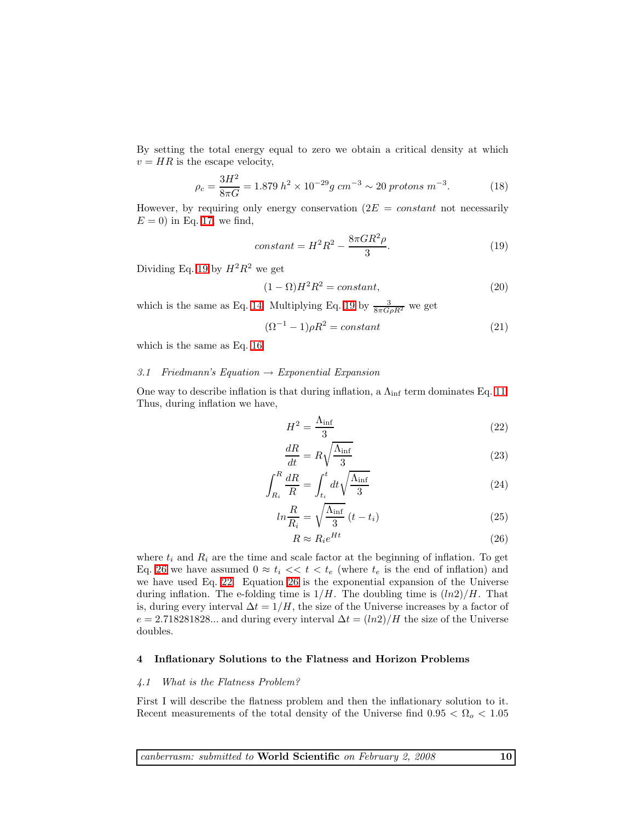By setting the total energy equal to zero we obtain a critical density at which  $v = HR$  is the escape velocity,

$$
\rho_c = \frac{3H^2}{8\pi G} = 1.879 \ h^2 \times 10^{-29} g \ cm^{-3} \sim 20 \ protons \ m^{-3}.
$$
 (18)

<span id="page-9-0"></span>However, by requiring only energy conservation  $(2E = constant \text{ not necessarily})$  $E = 0$ ) in Eq. [17,](#page-8-4) we find,

$$
constant = H^2 R^2 - \frac{8\pi G R^2 \rho}{3}.
$$
\n(19)

Dividing Eq. [19](#page-9-0) by  $H^2R^2$  we get

$$
(1 - \Omega)H^2 R^2 = constant,\t\t(20)
$$

which is the same as Eq. [14.](#page-8-2) Multiplying Eq. [19](#page-9-0) by  $\frac{3}{8\pi G\rho R^2}$  we get

$$
(\Omega^{-1} - 1)\rho R^2 = constant \tag{21}
$$

which is the same as Eq. [16.](#page-8-3)

#### *3.1 Friedmann's Equation* → *Exponential Expansion*

One way to describe inflation is that during inflation, a  $\Lambda_{\text{inf}}$  term dominates Eq. [11.](#page-8-0) Thus, during inflation we have,

$$
H^2 = \frac{\Lambda_{\text{inf}}}{3} \tag{22}
$$

$$
\frac{dR}{dt} = R\sqrt{\frac{\Lambda_{\text{inf}}}{3}}\tag{23}
$$

<span id="page-9-1"></span>
$$
\int_{R_i}^{R} \frac{dR}{R} = \int_{t_i}^{t} dt \sqrt{\frac{\Lambda_{\text{inf}}}{3}} \tag{24}
$$

$$
ln\frac{R}{R_i} = \sqrt{\frac{\Lambda_{\text{inf}}}{3}} \ (t - t_i)
$$
 (25)

$$
R \approx R_i e^{Ht} \tag{26}
$$

where  $t_i$  and  $R_i$  are the time and scale factor at the beginning of inflation. To get Eq. [26](#page-9-1) we have assumed  $0 \approx t_i \ll t \ll t_e$  (where  $t_e$  is the end of inflation) and we have used Eq. [22.](#page-9-1) Equation [26](#page-9-1) is the exponential expansion of the Universe during inflation. The e-folding time is  $1/H$ . The doubling time is  $(ln2)/H$ . That is, during every interval  $\Delta t = 1/H$ , the size of the Universe increases by a factor of  $e = 2.718281828...$  and during every interval  $\Delta t = (ln2)/H$  the size of the Universe doubles.

#### 4 Inflationary Solutions to the Flatness and Horizon Problems

# *4.1 What is the Flatness Problem?*

First I will describe the flatness problem and then the inflationary solution to it. Recent measurements of the total density of the Universe find  $0.95 < \Omega_{o} < 1.05$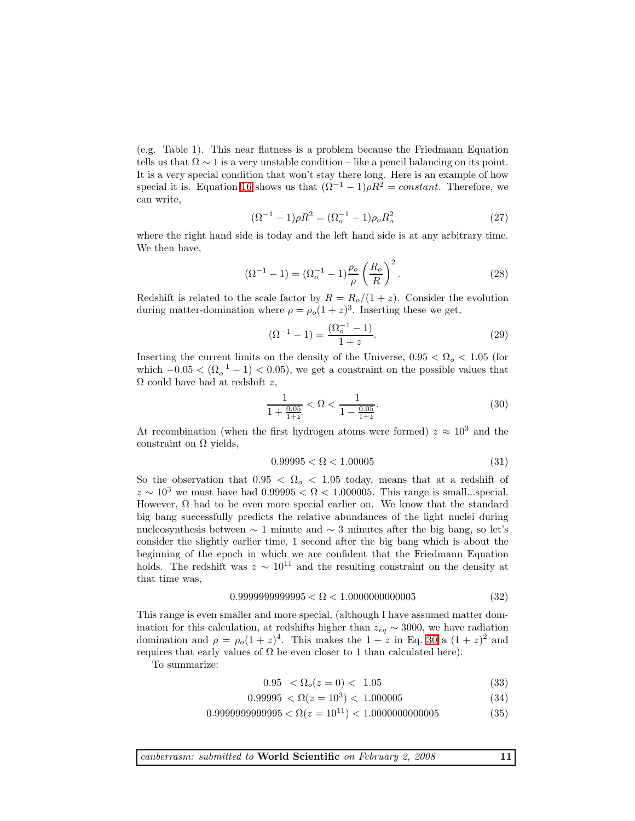(e.g. Table 1). This near flatness is a problem because the Friedmann Equation tells us that  $\Omega \sim 1$  is a very unstable condition – like a pencil balancing on its point. It is a very special condition that won't stay there long. Here is an example of how special it is. Equation [16](#page-8-3) shows us that  $(\Omega^{-1} - 1)\rho R^2 = constant$ . Therefore, we can write,

$$
(\Omega^{-1} - 1)\rho R^2 = (\Omega_o^{-1} - 1)\rho_o R_o^2
$$
\n(27)

where the right hand side is today and the left hand side is at any arbitrary time. We then have,

$$
(\Omega^{-1} - 1) = (\Omega_o^{-1} - 1) \frac{\rho_o}{\rho} \left(\frac{R_o}{R}\right)^2.
$$
 (28)

Redshift is related to the scale factor by  $R = R_o/(1+z)$ . Consider the evolution during matter-domination where  $\rho = \rho_o (1+z)^3$ . Inserting these we get,

$$
(\Omega^{-1} - 1) = \frac{(\Omega_o^{-1} - 1)}{1 + z}.
$$
\n(29)

<span id="page-10-0"></span>Inserting the current limits on the density of the Universe,  $0.95 < \Omega_o < 1.05$  (for which  $-0.05 < (\Omega_o^{-1} - 1) < 0.05$ , we get a constraint on the possible values that  $\Omega$  could have had at redshift z,

$$
\frac{1}{1 + \frac{0.05}{1+z}} < \Omega < \frac{1}{1 - \frac{0.05}{1+z}}.\tag{30}
$$

At recombination (when the first hydrogen atoms were formed)  $z \approx 10^3$  and the constraint on  $\Omega$  yields,

$$
0.99995 < \Omega < 1.00005 \tag{31}
$$

So the observation that  $0.95 < \Omega_{o} < 1.05$  today, means that at a redshift of  $z \sim 10^3$  we must have had  $0.99995 < \Omega < 1.000005$ . This range is small...special. However,  $\Omega$  had to be even more special earlier on. We know that the standard big bang successfully predicts the relative abundances of the light nuclei during nucleosynthesis between  $\sim 1$  minute and  $\sim 3$  minutes after the big bang, so let's consider the slightly earlier time, 1 second after the big bang which is about the beginning of the epoch in which we are confident that the Friedmann Equation holds. The redshift was  $z \sim 10^{11}$  and the resulting constraint on the density at that time was,

$$
0.999999999995 < \Omega < 1.000000000005 \tag{32}
$$

This range is even smaller and more special, (although I have assumed matter domination for this calculation, at redshifts higher than  $z_{eq} \sim 3000$ , we have radiation domination and  $\rho = \rho_o (1+z)^4$ . This makes the  $1+z$  in Eq. [30](#page-10-0) a  $(1+z)^2$  and requires that early values of  $Ω$  be even closer to 1 than calculated here).

To summarize:

$$
0.95 < \Omega_o(z=0) < 1.05 \tag{33}
$$

$$
0.99995 < \Omega(z = 10^3) < 1.000005 \tag{34}
$$

$$
0.999999999995 < \Omega(z = 10^{11}) < 1.000000000005
$$
\n(35)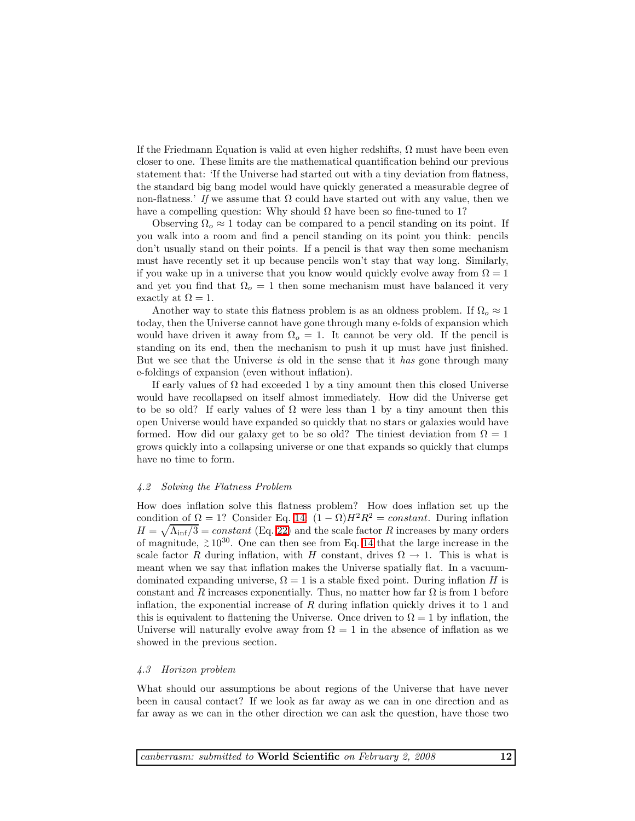If the Friedmann Equation is valid at even higher redshifts,  $\Omega$  must have been even closer to one. These limits are the mathematical quantification behind our previous statement that: 'If the Universe had started out with a tiny deviation from flatness, the standard big bang model would have quickly generated a measurable degree of non-flatness.' *If* we assume that  $Ω$  could have started out with any value, then we have a compelling question: Why should  $\Omega$  have been so fine-tuned to 1?

Observing  $\Omega_0 \approx 1$  today can be compared to a pencil standing on its point. If you walk into a room and find a pencil standing on its point you think: pencils don't usually stand on their points. If a pencil is that way then some mechanism must have recently set it up because pencils won't stay that way long. Similarly, if you wake up in a universe that you know would quickly evolve away from  $\Omega = 1$ and yet you find that  $\Omega_{o} = 1$  then some mechanism must have balanced it very exactly at  $\Omega = 1$ .

Another way to state this flatness problem is as an oldness problem. If  $\Omega_o \approx 1$ today, then the Universe cannot have gone through many e-folds of expansion which would have driven it away from  $\Omega_{o} = 1$ . It cannot be very old. If the pencil is standing on its end, then the mechanism to push it up must have just finished. But we see that the Universe *is* old in the sense that it *has* gone through many e-foldings of expansion (even without inflation).

If early values of  $\Omega$  had exceeded 1 by a tiny amount then this closed Universe would have recollapsed on itself almost immediately. How did the Universe get to be so old? If early values of  $\Omega$  were less than 1 by a tiny amount then this open Universe would have expanded so quickly that no stars or galaxies would have formed. How did our galaxy get to be so old? The tiniest deviation from  $\Omega = 1$ grows quickly into a collapsing universe or one that expands so quickly that clumps have no time to form.

#### *4.2 Solving the Flatness Problem*

How does inflation solve this flatness problem? How does inflation set up the condition of  $\Omega = 1$ ? Consider Eq. [14:](#page-8-2)  $(1 - \Omega)H^2R^2 = constant$ . During inflation  $H = \sqrt{\Lambda_{\text{inf}}/3} = constant$  (Eq. [22\)](#page-9-1) and the scale factor R increases by many orders of magnitude,  $\geq 10^{30}$ . One can then see from Eq. [14](#page-8-2) that the large increase in the scale factor R during inflation, with H constant, drives  $\Omega \to 1$ . This is what is meant when we say that inflation makes the Universe spatially flat. In a vacuumdominated expanding universe,  $\Omega = 1$  is a stable fixed point. During inflation H is constant and R increases exponentially. Thus, no matter how far  $\Omega$  is from 1 before inflation, the exponential increase of  $R$  during inflation quickly drives it to 1 and this is equivalent to flattening the Universe. Once driven to  $\Omega = 1$  by inflation, the Universe will naturally evolve away from  $\Omega = 1$  in the absence of inflation as we showed in the previous section.

#### <span id="page-11-0"></span>*4.3 Horizon problem*

What should our assumptions be about regions of the Universe that have never been in causal contact? If we look as far away as we can in one direction and as far away as we can in the other direction we can ask the question, have those two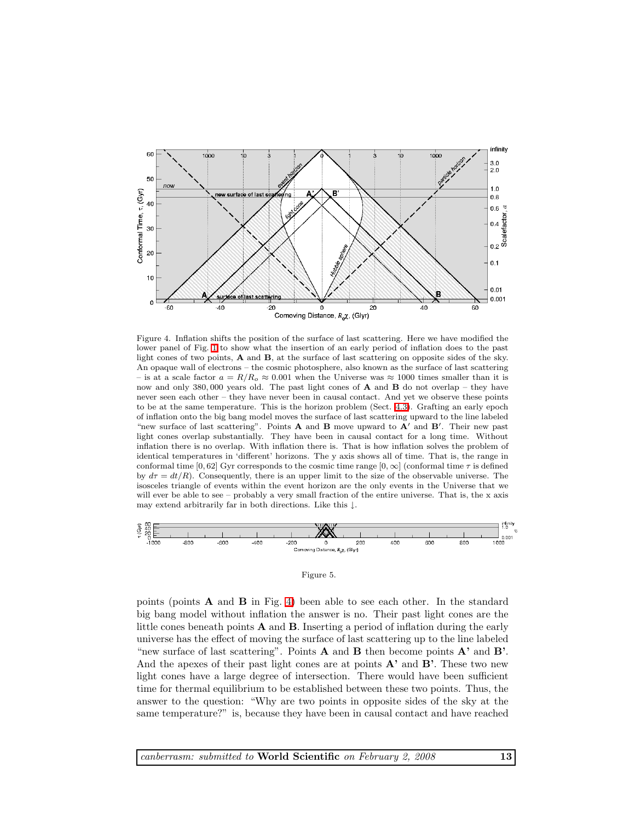

<span id="page-12-0"></span>Figure 4. Inflation shifts the position of the surface of last scattering. Here we have modified the lower panel of Fig. [1](#page-5-0) to show what the insertion of an early period of inflation does to the past light cones of two points, A and B, at the surface of last scattering on opposite sides of the sky. An opaque wall of electrons – the cosmic photosphere, also known as the surface of last scattering – is at a scale factor  $a = R/R_o \approx 0.001$  when the Universe was  $\approx 1000$  times smaller than it is now and only 380, 000 years old. The past light cones of A and B do not overlap – they have never seen each other – they have never been in causal contact. And yet we observe these points to be at the same temperature. This is the horizon problem (Sect. [4.3\)](#page-11-0). Grafting an early epoch of inflation onto the big bang model moves the surface of last scattering upward to the line labeled "new surface of last scattering". Points  $A$  and  $B$  move upward to  $A'$  and  $B'$ . Their new past light cones overlap substantially. They have been in causal contact for a long time. Without inflation there is no overlap. With inflation there is. That is how inflation solves the problem of identical temperatures in 'different' horizons. The y axis shows all of time. That is, the range in conformal time [0, 62] Gyr corresponds to the cosmic time range  $[0, \infty]$  (conformal time  $\tau$  is defined by  $d\tau = dt/R$ ). Consequently, there is an upper limit to the size of the observable universe. The isosceles triangle of events within the event horizon are the only events in the Universe that we will ever be able to see – probably a very small fraction of the entire universe. That is, the x axis may extend arbitrarily far in both directions. Like this ↓.



<span id="page-12-1"></span>

points (points  $\bf{A}$  and  $\bf{B}$  in Fig. [4\)](#page-12-0) been able to see each other. In the standard big bang model without inflation the answer is no. Their past light cones are the little cones beneath points  $\bf{A}$  and  $\bf{B}$ . Inserting a period of inflation during the early universe has the effect of moving the surface of last scattering up to the line labeled "new surface of last scattering". Points  $\bf{A}$  and  $\bf{B}$  then become points  $\bf{A}'$  and  $\bf{B}'$ . And the apexes of their past light cones are at points  $A'$  and  $B'$ . These two new light cones have a large degree of intersection. There would have been sufficient time for thermal equilibrium to be established between these two points. Thus, the answer to the question: "Why are two points in opposite sides of the sky at the same temperature?" is, because they have been in causal contact and have reached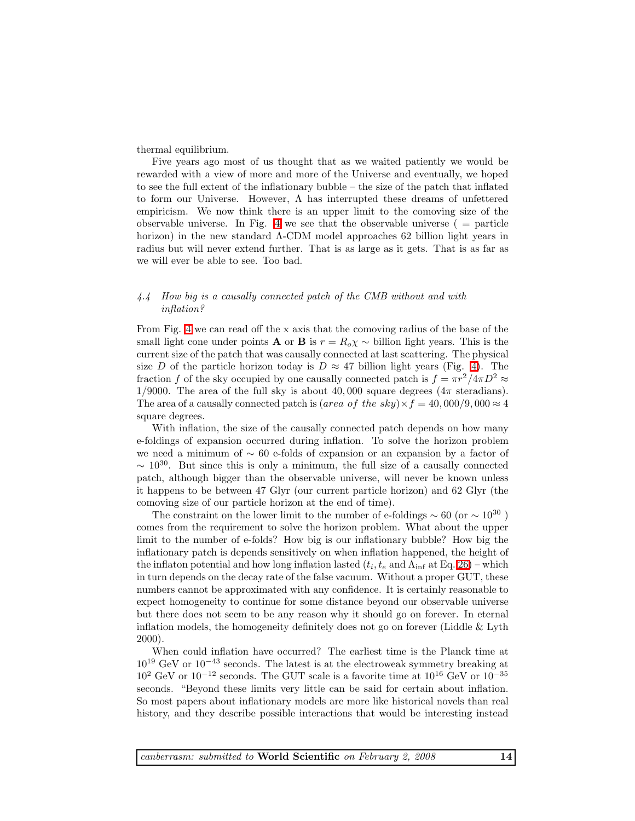thermal equilibrium.

Five years ago most of us thought that as we waited patiently we would be rewarded with a view of more and more of the Universe and eventually, we hoped to see the full extent of the inflationary bubble – the size of the patch that inflated to form our Universe. However,  $\Lambda$  has interrupted these dreams of unfettered empiricism. We now think there is an upper limit to the comoving size of the observable universe. In Fig. [4](#page-12-0) we see that the observable universe  $($  = particle horizon) in the new standard Λ-CDM model approaches 62 billion light years in radius but will never extend further. That is as large as it gets. That is as far as we will ever be able to see. Too bad.

# *4.4 How big is a causally connected patch of the CMB without and with inflation?*

From Fig. [4](#page-12-0) we can read off the x axis that the comoving radius of the base of the small light cone under points **A** or **B** is  $r = R_o \chi \sim$  billion light years. This is the current size of the patch that was causally connected at last scattering. The physical size D of the particle horizon today is  $D \approx 47$  billion light years (Fig. [4\)](#page-12-0). The fraction f of the sky occupied by one causally connected patch is  $f = \pi r^2/4\pi D^2 \approx$ 1/9000. The area of the full sky is about 40,000 square degrees  $(4\pi \text{ steradians}).$ The area of a causally connected patch is  $(area of the sky) \times f = 40,000/9,000 \approx 4$ square degrees.

With inflation, the size of the causally connected patch depends on how many e-foldings of expansion occurred during inflation. To solve the horizon problem we need a minimum of ∼ 60 e-folds of expansion or an expansion by a factor of  $\sim 10^{30}$ . But since this is only a minimum, the full size of a causally connected patch, although bigger than the observable universe, will never be known unless it happens to be between 47 Glyr (our current particle horizon) and 62 Glyr (the comoving size of our particle horizon at the end of time).

The constraint on the lower limit to the number of e-foldings  $\sim 60$  (or  $\sim 10^{30}$ ) comes from the requirement to solve the horizon problem. What about the upper limit to the number of e-folds? How big is our inflationary bubble? How big the inflationary patch is depends sensitively on when inflation happened, the height of the inflaton potential and how long inflation lasted  $(t_i, t_e$  and  $\Lambda_{\text{inf}}$  at Eq. [26\)](#page-9-1) – which in turn depends on the decay rate of the false vacuum. Without a proper GUT, these numbers cannot be approximated with any confidence. It is certainly reasonable to expect homogeneity to continue for some distance beyond our observable universe but there does not seem to be any reason why it should go on forever. In eternal inflation models, the homogeneity definitely does not go on forever (Liddle & Lyth 2000).

When could inflation have occurred? The earliest time is the Planck time at  $10^{19}$  GeV or  $10^{-43}$  seconds. The latest is at the electroweak symmetry breaking at  $10^2$  GeV or  $10^{-12}$  seconds. The GUT scale is a favorite time at  $10^{16}$  GeV or  $10^{-35}$ seconds. "Beyond these limits very little can be said for certain about inflation. So most papers about inflationary models are more like historical novels than real history, and they describe possible interactions that would be interesting instead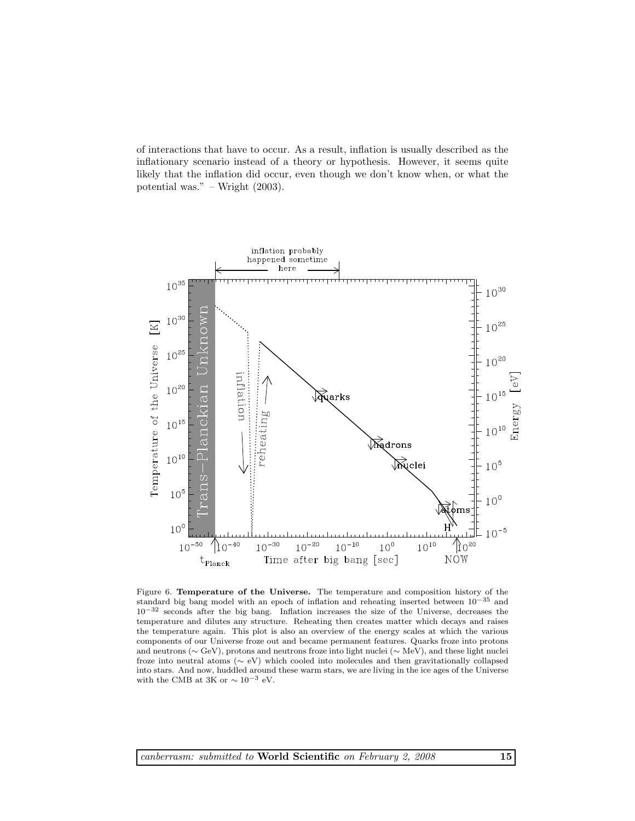of interactions that have to occur. As a result, inflation is usually described as the inflationary scenario instead of a theory or hypothesis. However, it seems quite likely that the inflation did occur, even though we don't know when, or what the potential was." – Wright (2003).



Figure 6. Temperature of the Universe. The temperature and composition history of the standard big bang model with an epoch of inflation and reheating inserted between  $10^{-35}$  and 10−<sup>32</sup> seconds after the big bang. Inflation increases the size of the Universe, decreases the temperature and dilutes any structure. Reheating then creates matter which decays and raises the temperature again. This plot is also an overview of the energy scales at which the various components of our Universe froze out and became permanent features. Quarks froze into protons and neutrons (∼ GeV), protons and neutrons froze into light nuclei (∼ MeV), and these light nuclei froze into neutral atoms (∼ eV) which cooled into molecules and then gravitationally collapsed into stars. And now, huddled around these warm stars, we are living in the ice ages of the Universe with the CMB at 3K or  $\sim 10^{-3}$  eV.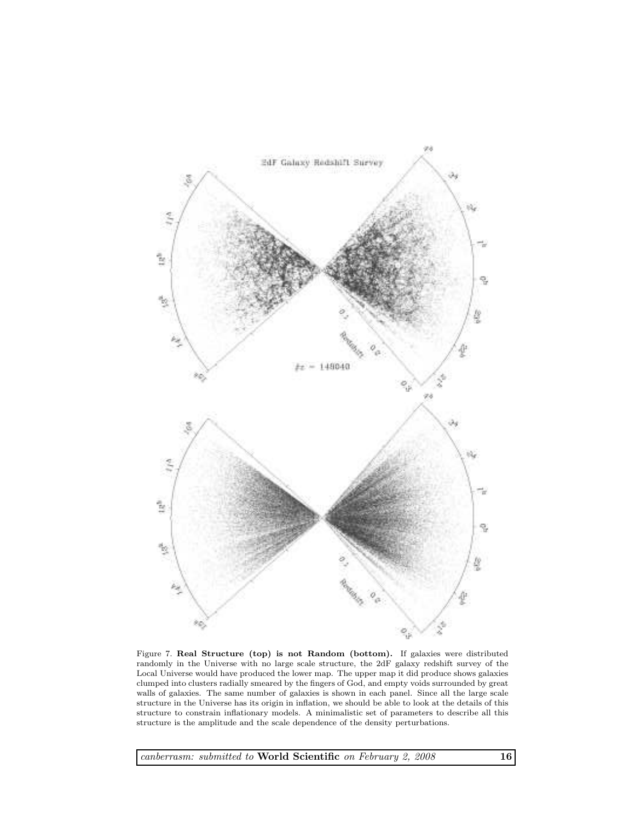

<span id="page-15-0"></span>Figure 7. Real Structure (top) is not Random (bottom). If galaxies were distributed randomly in the Universe with no large scale structure, the 2dF galaxy redshift survey of the Local Universe would have produced the lower map. The upper map it did produce shows galaxies clumped into clusters radially smeared by the fingers of God, and empty voids surrounded by great walls of galaxies. The same number of galaxies is shown in each panel. Since all the large scale structure in the Universe has its origin in inflation, we should be able to look at the details of this structure to constrain inflationary models. A minimalistic set of parameters to describe all this structure is the amplitude and the scale dependence of the density perturbations.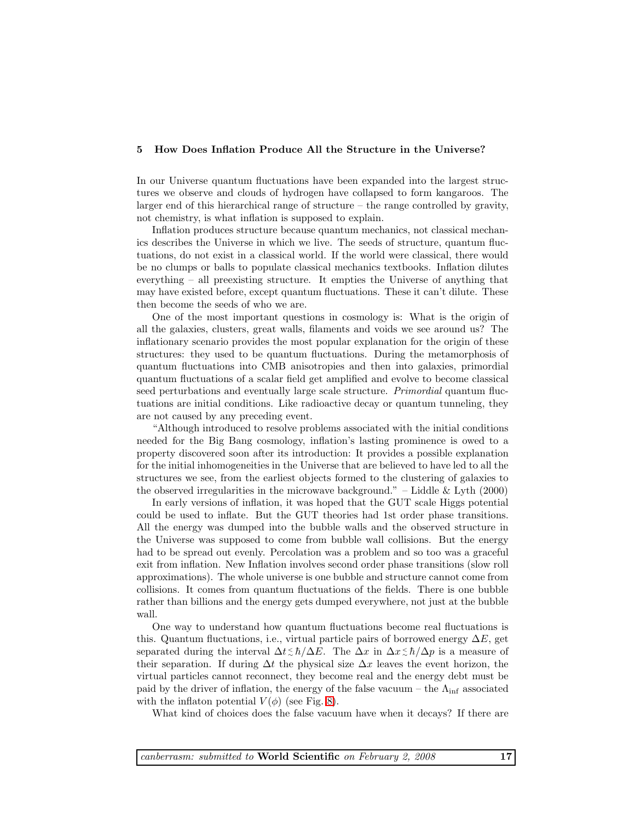# 5 How Does Inflation Produce All the Structure in the Universe?

In our Universe quantum fluctuations have been expanded into the largest structures we observe and clouds of hydrogen have collapsed to form kangaroos. The larger end of this hierarchical range of structure – the range controlled by gravity, not chemistry, is what inflation is supposed to explain.

Inflation produces structure because quantum mechanics, not classical mechanics describes the Universe in which we live. The seeds of structure, quantum fluctuations, do not exist in a classical world. If the world were classical, there would be no clumps or balls to populate classical mechanics textbooks. Inflation dilutes everything – all preexisting structure. It empties the Universe of anything that may have existed before, except quantum fluctuations. These it can't dilute. These then become the seeds of who we are.

One of the most important questions in cosmology is: What is the origin of all the galaxies, clusters, great walls, filaments and voids we see around us? The inflationary scenario provides the most popular explanation for the origin of these structures: they used to be quantum fluctuations. During the metamorphosis of quantum fluctuations into CMB anisotropies and then into galaxies, primordial quantum fluctuations of a scalar field get amplified and evolve to become classical seed perturbations and eventually large scale structure. *Primordial* quantum fluctuations are initial conditions. Like radioactive decay or quantum tunneling, they are not caused by any preceding event.

"Although introduced to resolve problems associated with the initial conditions needed for the Big Bang cosmology, inflation's lasting prominence is owed to a property discovered soon after its introduction: It provides a possible explanation for the initial inhomogeneities in the Universe that are believed to have led to all the structures we see, from the earliest objects formed to the clustering of galaxies to the observed irregularities in the microwave background." – Liddle & Lyth (2000)

In early versions of inflation, it was hoped that the GUT scale Higgs potential could be used to inflate. But the GUT theories had 1st order phase transitions. All the energy was dumped into the bubble walls and the observed structure in the Universe was supposed to come from bubble wall collisions. But the energy had to be spread out evenly. Percolation was a problem and so too was a graceful exit from inflation. New Inflation involves second order phase transitions (slow roll approximations). The whole universe is one bubble and structure cannot come from collisions. It comes from quantum fluctuations of the fields. There is one bubble rather than billions and the energy gets dumped everywhere, not just at the bubble wall.

One way to understand how quantum fluctuations become real fluctuations is this. Quantum fluctuations, i.e., virtual particle pairs of borrowed energy  $\Delta E$ , get separated during the interval  $\Delta t \leq \hbar/\Delta E$ . The  $\Delta x$  in  $\Delta x \leq \hbar/\Delta p$  is a measure of their separation. If during  $\Delta t$  the physical size  $\Delta x$  leaves the event horizon, the virtual particles cannot reconnect, they become real and the energy debt must be paid by the driver of inflation, the energy of the false vacuum – the  $\Lambda_{\rm inf}$  associated with the inflaton potential  $V(\phi)$  (see Fig. [8\)](#page-17-0).

What kind of choices does the false vacuum have when it decays? If there are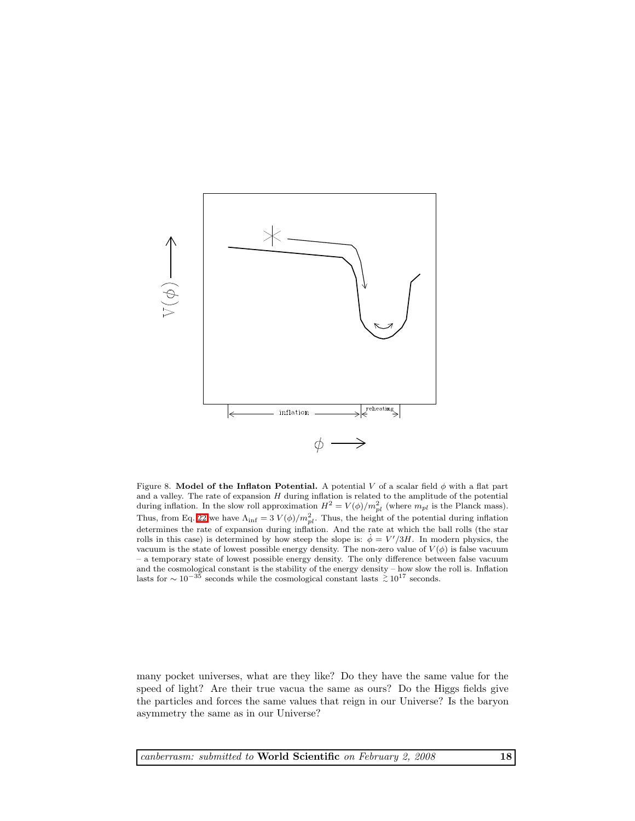

<span id="page-17-0"></span>Figure 8. Model of the Inflaton Potential. A potential V of a scalar field  $\phi$  with a flat part and a valley. The rate of expansion H during inflation is related to the amplitude of the potential during inflation. In the slow roll approximation  $H^2 = V(\phi)/m_{pl}^2$  (where  $m_{pl}$  is the Planck mass). Thus, from Eq. [22](#page-9-1) we have  $\Lambda_{\rm inf} = 3 V(\phi)/m_{pl}^2$ . Thus, the height of the potential during inflation determines the rate of expansion during inflation. And the rate at which the ball rolls (the star rolls in this case) is determined by how steep the slope is:  $\dot{\phi} = V'/3H$ . In modern physics, the vacuum is the state of lowest possible energy density. The non-zero value of  $V(\phi)$  is false vacuum – a temporary state of lowest possible energy density. The only difference between false vacuum and the cosmological constant is the stability of the energy density – how slow the roll is. Inflation lasts for  $\sim 10^{-35}$  seconds while the cosmological constant lasts  $\stackrel{>}{\sim} 10^{17}$  seconds.

many pocket universes, what are they like? Do they have the same value for the speed of light? Are their true vacua the same as ours? Do the Higgs fields give the particles and forces the same values that reign in our Universe? Is the baryon asymmetry the same as in our Universe?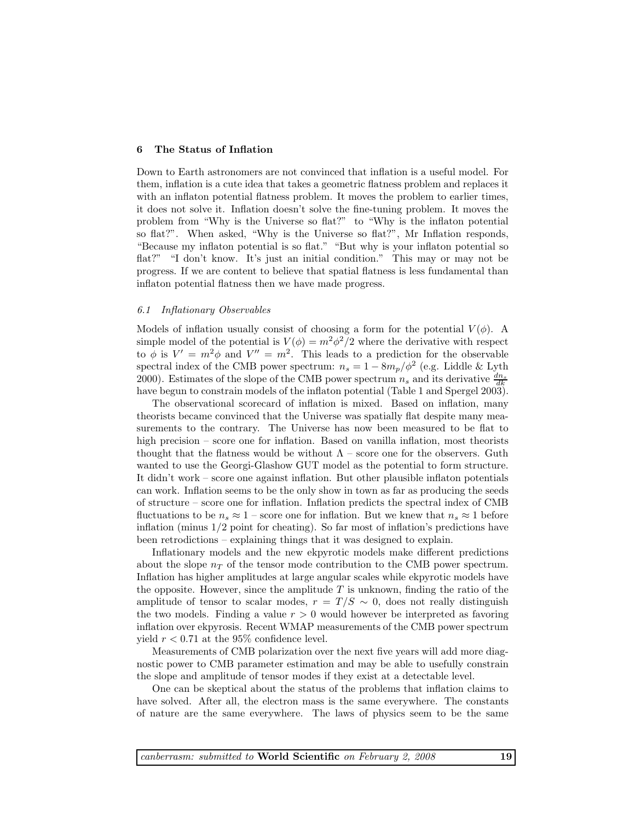#### <span id="page-18-0"></span>6 The Status of Inflation

Down to Earth astronomers are not convinced that inflation is a useful model. For them, inflation is a cute idea that takes a geometric flatness problem and replaces it with an inflaton potential flatness problem. It moves the problem to earlier times, it does not solve it. Inflation doesn't solve the fine-tuning problem. It moves the problem from "Why is the Universe so flat?" to "Why is the inflaton potential so flat?". When asked, "Why is the Universe so flat?", Mr Inflation responds, "Because my inflaton potential is so flat." "But why is your inflaton potential so flat?" "I don't know. It's just an initial condition." This may or may not be progress. If we are content to believe that spatial flatness is less fundamental than inflaton potential flatness then we have made progress.

#### *6.1 Inflationary Observables*

Models of inflation usually consist of choosing a form for the potential  $V(\phi)$ . A simple model of the potential is  $V(\phi) = m^2 \phi^2/2$  where the derivative with respect to  $\phi$  is  $V' = m^2 \phi$  and  $V'' = m^2$ . This leads to a prediction for the observable spectral index of the CMB power spectrum:  $n_s = 1 - 8m_p/\phi^2$  (e.g. Liddle & Lyth 2000). Estimates of the slope of the CMB power spectrum  $n_s$  and its derivative  $\frac{dn_s}{dk}$ have begun to constrain models of the inflaton potential (Table 1 and Spergel 2003).

The observational scorecard of inflation is mixed. Based on inflation, many theorists became convinced that the Universe was spatially flat despite many measurements to the contrary. The Universe has now been measured to be flat to high precision – score one for inflation. Based on vanilla inflation, most theorists thought that the flatness would be without  $\Lambda$  – score one for the observers. Guth wanted to use the Georgi-Glashow GUT model as the potential to form structure. It didn't work – score one against inflation. But other plausible inflaton potentials can work. Inflation seems to be the only show in town as far as producing the seeds of structure – score one for inflation. Inflation predicts the spectral index of CMB fluctuations to be  $n_s \approx 1$  – score one for inflation. But we knew that  $n_s \approx 1$  before inflation (minus  $1/2$  point for cheating). So far most of inflation's predictions have been retrodictions – explaining things that it was designed to explain.

Inflationary models and the new ekpyrotic models make different predictions about the slope  $n<sub>T</sub>$  of the tensor mode contribution to the CMB power spectrum. Inflation has higher amplitudes at large angular scales while ekpyrotic models have the opposite. However, since the amplitude  $T$  is unknown, finding the ratio of the amplitude of tensor to scalar modes,  $r = T/S \sim 0$ , does not really distinguish the two models. Finding a value  $r > 0$  would however be interpreted as favoring inflation over ekpyrosis. Recent WMAP measurements of the CMB power spectrum yield  $r < 0.71$  at the 95% confidence level.

Measurements of CMB polarization over the next five years will add more diagnostic power to CMB parameter estimation and may be able to usefully constrain the slope and amplitude of tensor modes if they exist at a detectable level.

One can be skeptical about the status of the problems that inflation claims to have solved. After all, the electron mass is the same everywhere. The constants of nature are the same everywhere. The laws of physics seem to be the same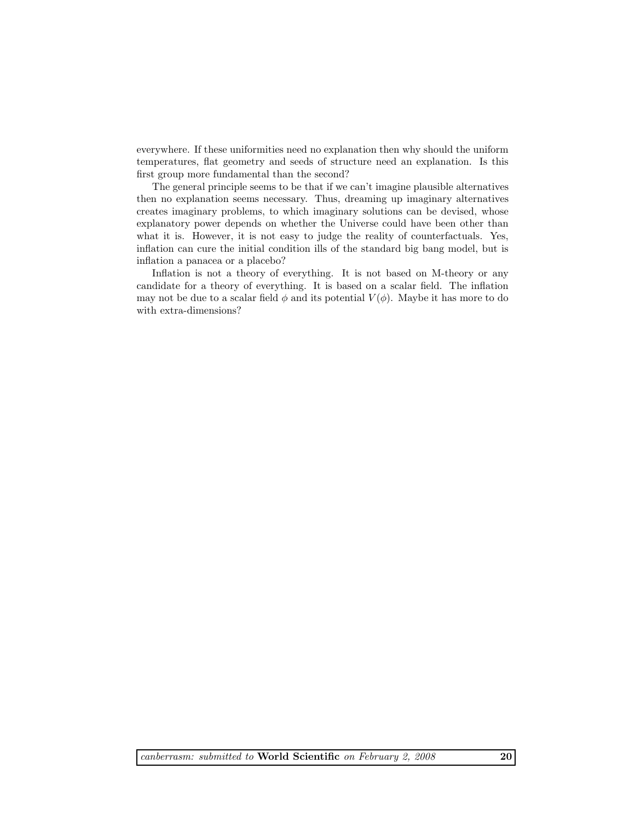everywhere. If these uniformities need no explanation then why should the uniform temperatures, flat geometry and seeds of structure need an explanation. Is this first group more fundamental than the second?

The general principle seems to be that if we can't imagine plausible alternatives then no explanation seems necessary. Thus, dreaming up imaginary alternatives creates imaginary problems, to which imaginary solutions can be devised, whose explanatory power depends on whether the Universe could have been other than what it is. However, it is not easy to judge the reality of counterfactuals. Yes, inflation can cure the initial condition ills of the standard big bang model, but is inflation a panacea or a placebo?

Inflation is not a theory of everything. It is not based on M-theory or any candidate for a theory of everything. It is based on a scalar field. The inflation may not be due to a scalar field  $\phi$  and its potential  $V(\phi)$ . Maybe it has more to do with extra-dimensions?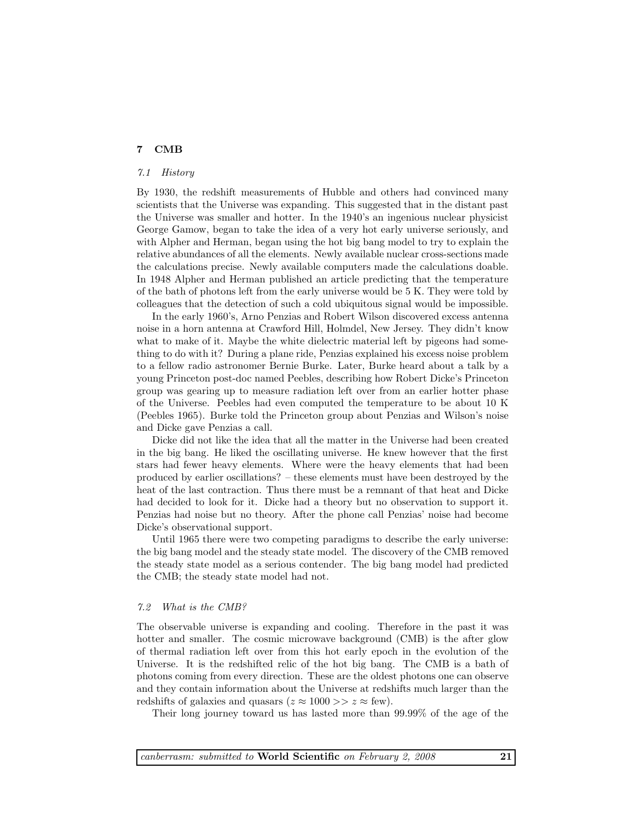# 7 CMB

#### *7.1 History*

By 1930, the redshift measurements of Hubble and others had convinced many scientists that the Universe was expanding. This suggested that in the distant past the Universe was smaller and hotter. In the 1940's an ingenious nuclear physicist George Gamow, began to take the idea of a very hot early universe seriously, and with Alpher and Herman, began using the hot big bang model to try to explain the relative abundances of all the elements. Newly available nuclear cross-sections made the calculations precise. Newly available computers made the calculations doable. In 1948 Alpher and Herman published an article predicting that the temperature of the bath of photons left from the early universe would be 5 K. They were told by colleagues that the detection of such a cold ubiquitous signal would be impossible.

In the early 1960's, Arno Penzias and Robert Wilson discovered excess antenna noise in a horn antenna at Crawford Hill, Holmdel, New Jersey. They didn't know what to make of it. Maybe the white dielectric material left by pigeons had something to do with it? During a plane ride, Penzias explained his excess noise problem to a fellow radio astronomer Bernie Burke. Later, Burke heard about a talk by a young Princeton post-doc named Peebles, describing how Robert Dicke's Princeton group was gearing up to measure radiation left over from an earlier hotter phase of the Universe. Peebles had even computed the temperature to be about 10 K (Peebles 1965). Burke told the Princeton group about Penzias and Wilson's noise and Dicke gave Penzias a call.

Dicke did not like the idea that all the matter in the Universe had been created in the big bang. He liked the oscillating universe. He knew however that the first stars had fewer heavy elements. Where were the heavy elements that had been produced by earlier oscillations? – these elements must have been destroyed by the heat of the last contraction. Thus there must be a remnant of that heat and Dicke had decided to look for it. Dicke had a theory but no observation to support it. Penzias had noise but no theory. After the phone call Penzias' noise had become Dicke's observational support.

Until 1965 there were two competing paradigms to describe the early universe: the big bang model and the steady state model. The discovery of the CMB removed the steady state model as a serious contender. The big bang model had predicted the CMB; the steady state model had not.

#### *7.2 What is the CMB?*

The observable universe is expanding and cooling. Therefore in the past it was hotter and smaller. The cosmic microwave background (CMB) is the after glow of thermal radiation left over from this hot early epoch in the evolution of the Universe. It is the redshifted relic of the hot big bang. The CMB is a bath of photons coming from every direction. These are the oldest photons one can observe and they contain information about the Universe at redshifts much larger than the redshifts of galaxies and quasars ( $z \approx 1000 >> z \approx$  few).

Their long journey toward us has lasted more than 99.99% of the age of the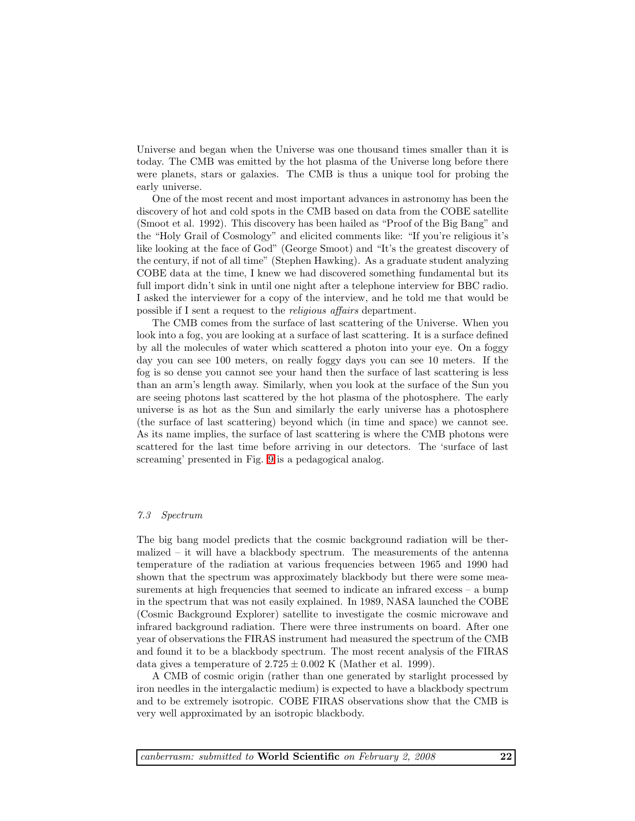Universe and began when the Universe was one thousand times smaller than it is today. The CMB was emitted by the hot plasma of the Universe long before there were planets, stars or galaxies. The CMB is thus a unique tool for probing the early universe.

One of the most recent and most important advances in astronomy has been the discovery of hot and cold spots in the CMB based on data from the COBE satellite (Smoot et al. 1992). This discovery has been hailed as "Proof of the Big Bang" and the "Holy Grail of Cosmology" and elicited comments like: "If you're religious it's like looking at the face of God" (George Smoot) and "It's the greatest discovery of the century, if not of all time" (Stephen Hawking). As a graduate student analyzing COBE data at the time, I knew we had discovered something fundamental but its full import didn't sink in until one night after a telephone interview for BBC radio. I asked the interviewer for a copy of the interview, and he told me that would be possible if I sent a request to the *religious affairs* department.

The CMB comes from the surface of last scattering of the Universe. When you look into a fog, you are looking at a surface of last scattering. It is a surface defined by all the molecules of water which scattered a photon into your eye. On a foggy day you can see 100 meters, on really foggy days you can see 10 meters. If the fog is so dense you cannot see your hand then the surface of last scattering is less than an arm's length away. Similarly, when you look at the surface of the Sun you are seeing photons last scattered by the hot plasma of the photosphere. The early universe is as hot as the Sun and similarly the early universe has a photosphere (the surface of last scattering) beyond which (in time and space) we cannot see. As its name implies, the surface of last scattering is where the CMB photons were scattered for the last time before arriving in our detectors. The 'surface of last screaming' presented in Fig. [9](#page-22-0) is a pedagogical analog.

#### *7.3 Spectrum*

The big bang model predicts that the cosmic background radiation will be thermalized – it will have a blackbody spectrum. The measurements of the antenna temperature of the radiation at various frequencies between 1965 and 1990 had shown that the spectrum was approximately blackbody but there were some measurements at high frequencies that seemed to indicate an infrared excess – a bump in the spectrum that was not easily explained. In 1989, NASA launched the COBE (Cosmic Background Explorer) satellite to investigate the cosmic microwave and infrared background radiation. There were three instruments on board. After one year of observations the FIRAS instrument had measured the spectrum of the CMB and found it to be a blackbody spectrum. The most recent analysis of the FIRAS data gives a temperature of  $2.725 \pm 0.002$  K (Mather et al. 1999).

A CMB of cosmic origin (rather than one generated by starlight processed by iron needles in the intergalactic medium) is expected to have a blackbody spectrum and to be extremely isotropic. COBE FIRAS observations show that the CMB is very well approximated by an isotropic blackbody.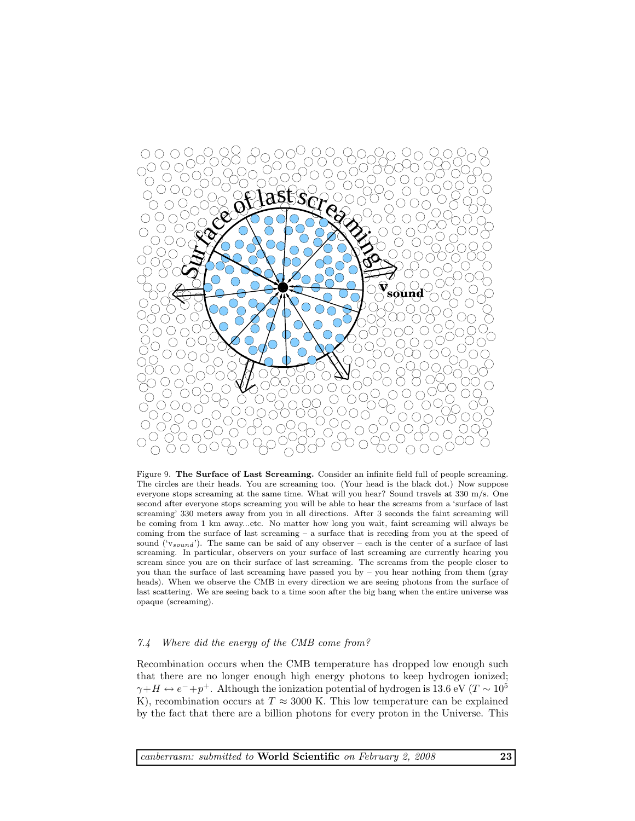

<span id="page-22-0"></span>Figure 9. The Surface of Last Screaming. Consider an infinite field full of people screaming. The circles are their heads. You are screaming too. (Your head is the black dot.) Now suppose everyone stops screaming at the same time. What will you hear? Sound travels at 330 m/s. One second after everyone stops screaming you will be able to hear the screams from a 'surface of last screaming' 330 meters away from you in all directions. After 3 seconds the faint screaming will be coming from 1 km away...etc. No matter how long you wait, faint screaming will always be coming from the surface of last screaming – a surface that is receding from you at the speed of sound ( $v_{sound}$ ). The same can be said of any observer – each is the center of a surface of last screaming. In particular, observers on your surface of last screaming are currently hearing you scream since you are on their surface of last screaming. The screams from the people closer to you than the surface of last screaming have passed you by – you hear nothing from them (gray heads). When we observe the CMB in every direction we are seeing photons from the surface of last scattering. We are seeing back to a time soon after the big bang when the entire universe was opaque (screaming).

#### *7.4 Where did the energy of the CMB come from?*

Recombination occurs when the CMB temperature has dropped low enough such that there are no longer enough high energy photons to keep hydrogen ionized;  $\gamma + H \leftrightarrow e^- + p^+$ . Although the ionization potential of hydrogen is 13.6 eV (T ~ 10<sup>5</sup>) K), recombination occurs at  $T \approx 3000$  K. This low temperature can be explained by the fact that there are a billion photons for every proton in the Universe. This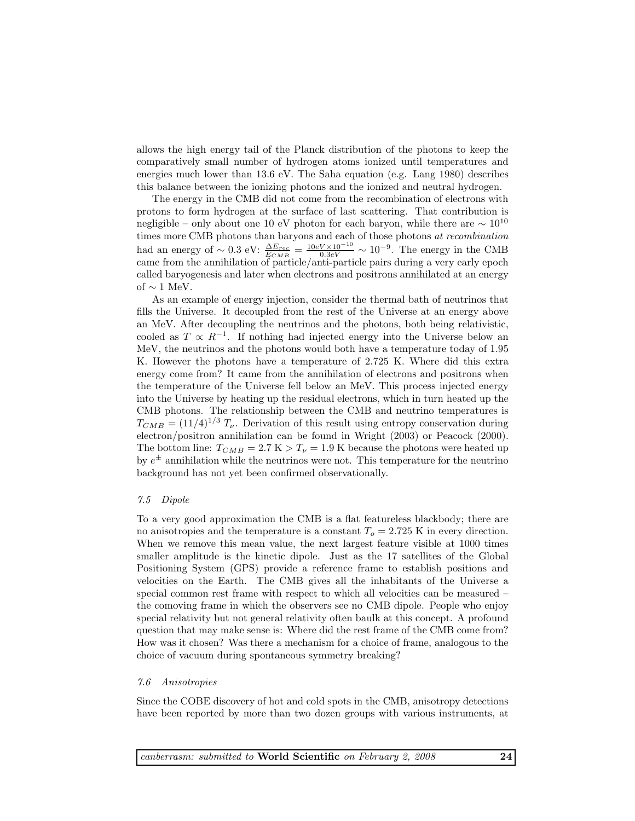allows the high energy tail of the Planck distribution of the photons to keep the comparatively small number of hydrogen atoms ionized until temperatures and energies much lower than 13.6 eV. The Saha equation (e.g. Lang 1980) describes this balance between the ionizing photons and the ionized and neutral hydrogen.

The energy in the CMB did not come from the recombination of electrons with protons to form hydrogen at the surface of last scattering. That contribution is negligible – only about one 10 eV photon for each baryon, while there are  $\sim 10^{10}$ times more CMB photons than baryons and each of those photons *at recombination* had an energy of ~ 0.3 eV:  $\frac{\Delta E_{rec}}{E_{CMB}} = \frac{10eV \times 10^{-10}}{0.3eV} \sim 10^{-9}$ . The energy in the CMB came from the annihilation of particle/anti-particle pairs during a very early epoch called baryogenesis and later when electrons and positrons annihilated at an energy of  $\sim$  1 MeV.

As an example of energy injection, consider the thermal bath of neutrinos that fills the Universe. It decoupled from the rest of the Universe at an energy above an MeV. After decoupling the neutrinos and the photons, both being relativistic, cooled as  $T \propto R^{-1}$ . If nothing had injected energy into the Universe below an MeV, the neutrinos and the photons would both have a temperature today of 1.95 K. However the photons have a temperature of 2.725 K. Where did this extra energy come from? It came from the annihilation of electrons and positrons when the temperature of the Universe fell below an MeV. This process injected energy into the Universe by heating up the residual electrons, which in turn heated up the CMB photons. The relationship between the CMB and neutrino temperatures is  $T_{CMB} = (11/4)^{1/3} T_{\nu}$ . Derivation of this result using entropy conservation during electron/positron annihilation can be found in Wright (2003) or Peacock (2000). The bottom line:  $T_{CMB} = 2.7 \text{ K} > T_{\nu} = 1.9 \text{ K}$  because the photons were heated up by  $e^{\pm}$  annihilation while the neutrinos were not. This temperature for the neutrino background has not yet been confirmed observationally.

#### *7.5 Dipole*

To a very good approximation the CMB is a flat featureless blackbody; there are no anisotropies and the temperature is a constant  $T<sub>o</sub> = 2.725$  K in every direction. When we remove this mean value, the next largest feature visible at 1000 times smaller amplitude is the kinetic dipole. Just as the 17 satellites of the Global Positioning System (GPS) provide a reference frame to establish positions and velocities on the Earth. The CMB gives all the inhabitants of the Universe a special common rest frame with respect to which all velocities can be measured – the comoving frame in which the observers see no CMB dipole. People who enjoy special relativity but not general relativity often baulk at this concept. A profound question that may make sense is: Where did the rest frame of the CMB come from? How was it chosen? Was there a mechanism for a choice of frame, analogous to the choice of vacuum during spontaneous symmetry breaking?

# *7.6 Anisotropies*

Since the COBE discovery of hot and cold spots in the CMB, anisotropy detections have been reported by more than two dozen groups with various instruments, at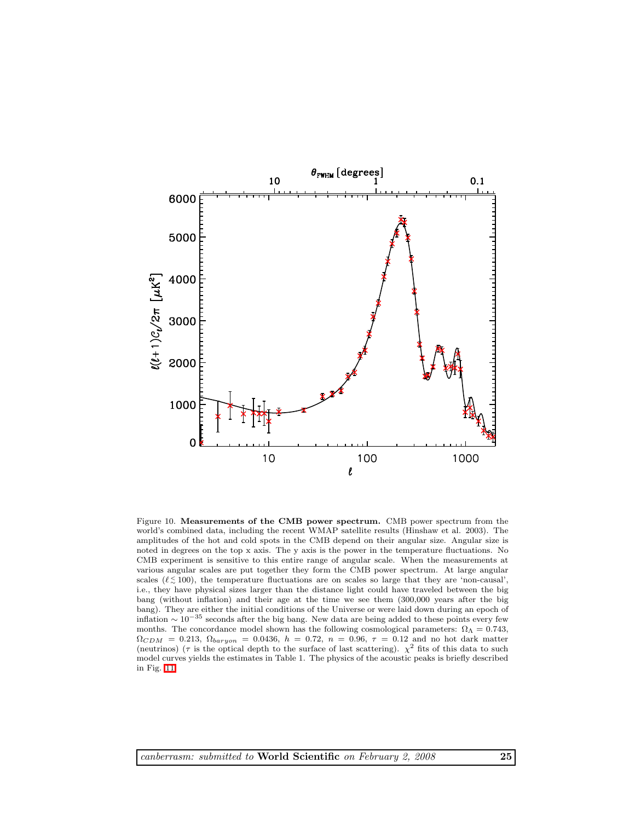

<span id="page-24-0"></span>Figure 10. Measurements of the CMB power spectrum. CMB power spectrum from the world's combined data, including the recent WMAP satellite results (Hinshaw et al. 2003). The amplitudes of the hot and cold spots in the CMB depend on their angular size. Angular size is noted in degrees on the top x axis. The y axis is the power in the temperature fluctuations. No CMB experiment is sensitive to this entire range of angular scale. When the measurements at various angular scales are put together they form the CMB power spectrum. At large angular scales  $(\ell \lesssim 100)$ , the temperature fluctuations are on scales so large that they are 'non-causal', i.e., they have physical sizes larger than the distance light could have traveled between the big bang (without inflation) and their age at the time we see them (300,000 years after the big bang). They are either the initial conditions of the Universe or were laid down during an epoch of inflation ∼ 10−<sup>35</sup> seconds after the big bang. New data are being added to these points every few months. The concordance model shown has the following cosmological parameters:  $\Omega_{\Lambda} = 0.743$ ,  $\Omega_{CDM} = 0.213, \ \Omega_{baryon} = 0.0436, \ h = 0.72, \ n = 0.96, \ \tau = 0.12$  and no hot dark matter (neutrinos) ( $\tau$  is the optical depth to the surface of last scattering).  $\chi^2$  fits of this data to such model curves yields the estimates in Table 1. The physics of the acoustic peaks is briefly described in Fig. [11.](#page-26-0)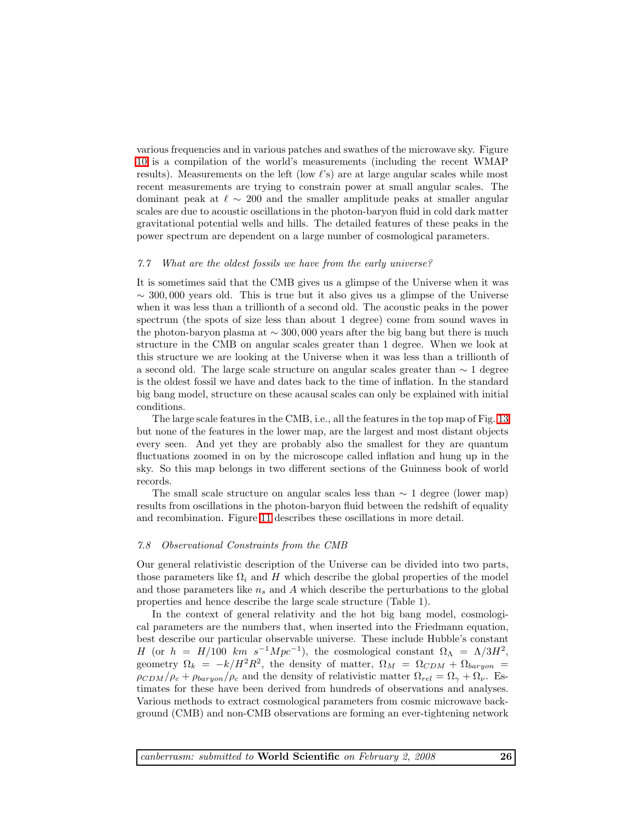various frequencies and in various patches and swathes of the microwave sky. Figure [10](#page-24-0) is a compilation of the world's measurements (including the recent WMAP results). Measurements on the left (low  $\ell$ 's) are at large angular scales while most recent measurements are trying to constrain power at small angular scales. The dominant peak at  $\ell \sim 200$  and the smaller amplitude peaks at smaller angular scales are due to acoustic oscillations in the photon-baryon fluid in cold dark matter gravitational potential wells and hills. The detailed features of these peaks in the power spectrum are dependent on a large number of cosmological parameters.

#### *7.7 What are the oldest fossils we have from the early universe?*

It is sometimes said that the CMB gives us a glimpse of the Universe when it was  $\sim$  300,000 years old. This is true but it also gives us a glimpse of the Universe when it was less than a trillionth of a second old. The acoustic peaks in the power spectrum (the spots of size less than about 1 degree) come from sound waves in the photon-baryon plasma at ∼ 300, 000 years after the big bang but there is much structure in the CMB on angular scales greater than 1 degree. When we look at this structure we are looking at the Universe when it was less than a trillionth of a second old. The large scale structure on angular scales greater than ∼ 1 degree is the oldest fossil we have and dates back to the time of inflation. In the standard big bang model, structure on these acausal scales can only be explained with initial conditions.

The large scale features in the CMB, i.e., all the features in the top map of Fig. [13](#page-28-0) but none of the features in the lower map, are the largest and most distant objects every seen. And yet they are probably also the smallest for they are quantum fluctuations zoomed in on by the microscope called inflation and hung up in the sky. So this map belongs in two different sections of the Guinness book of world records.

The small scale structure on angular scales less than  $\sim 1$  degree (lower map) results from oscillations in the photon-baryon fluid between the redshift of equality and recombination. Figure [11](#page-26-0) describes these oscillations in more detail.

#### *7.8 Observational Constraints from the CMB*

Our general relativistic description of the Universe can be divided into two parts, those parameters like  $\Omega_i$  and H which describe the global properties of the model and those parameters like  $n_s$  and A which describe the perturbations to the global properties and hence describe the large scale structure (Table 1).

In the context of general relativity and the hot big bang model, cosmological parameters are the numbers that, when inserted into the Friedmann equation, best describe our particular observable universe. These include Hubble's constant H (or  $h = H/100 \ km s^{-1}Mpc^{-1}$ ), the cosmological constant  $\Omega_{\Lambda} = \Lambda/3H^2$ , geometry  $\Omega_k = -k/H^2 R^2$ , the density of matter,  $\Omega_M = \Omega_{CDM} + \Omega_{baryon}$  =  $\rho_{CDM}/\rho_c + \rho_{baryon}/\rho_c$  and the density of relativistic matter  $\Omega_{rel} = \Omega_{\gamma} + \Omega_{\nu}$ . Estimates for these have been derived from hundreds of observations and analyses. Various methods to extract cosmological parameters from cosmic microwave background (CMB) and non-CMB observations are forming an ever-tightening network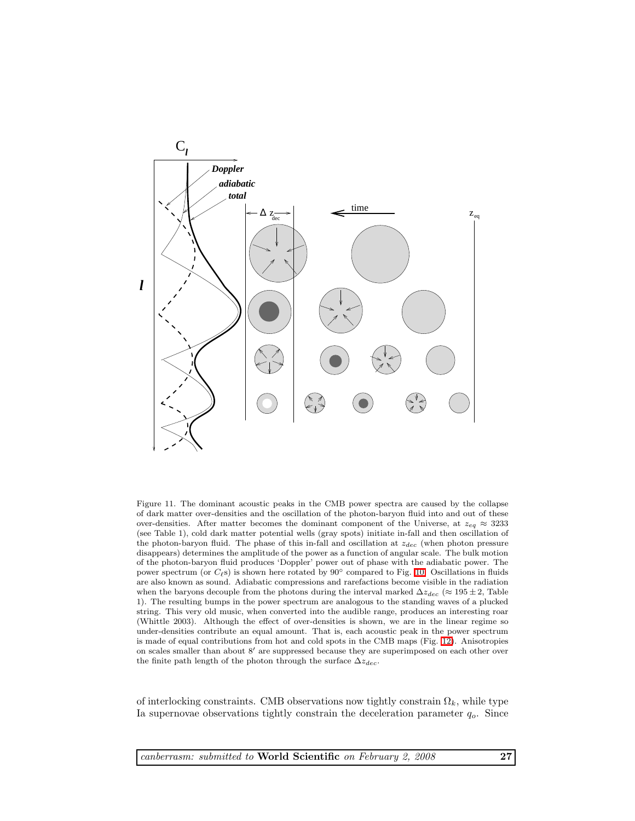

<span id="page-26-0"></span>Figure 11. The dominant acoustic peaks in the CMB power spectra are caused by the collapse of dark matter over-densities and the oscillation of the photon-baryon fluid into and out of these over-densities. After matter becomes the dominant component of the Universe, at  $z_{eq} \approx 3233$ (see Table 1), cold dark matter potential wells (gray spots) initiate in-fall and then oscillation of the photon-baryon fluid. The phase of this in-fall and oscillation at  $z_{dec}$  (when photon pressure disappears) determines the amplitude of the power as a function of angular scale. The bulk motion of the photon-baryon fluid produces 'Doppler' power out of phase with the adiabatic power. The power spectrum (or  $C_{\ell}$ s) is shown here rotated by 90° compared to Fig. [10.](#page-24-0) Oscillations in fluids are also known as sound. Adiabatic compressions and rarefactions become visible in the radiation when the baryons decouple from the photons during the interval marked  $\Delta z_{dec}$  (≈ 195 ± 2, Table 1). The resulting bumps in the power spectrum are analogous to the standing waves of a plucked string. This very old music, when converted into the audible range, produces an interesting roar (Whittle 2003). Although the effect of over-densities is shown, we are in the linear regime so under-densities contribute an equal amount. That is, each acoustic peak in the power spectrum is made of equal contributions from hot and cold spots in the CMB maps (Fig. [12\)](#page-27-0). Anisotropies on scales smaller than about 8′ are suppressed because they are superimposed on each other over the finite path length of the photon through the surface  $\Delta z_{dec}$ .

of interlocking constraints. CMB observations now tightly constrain  $\Omega_k$ , while type Ia supernovae observations tightly constrain the deceleration parameter  $q_o$ . Since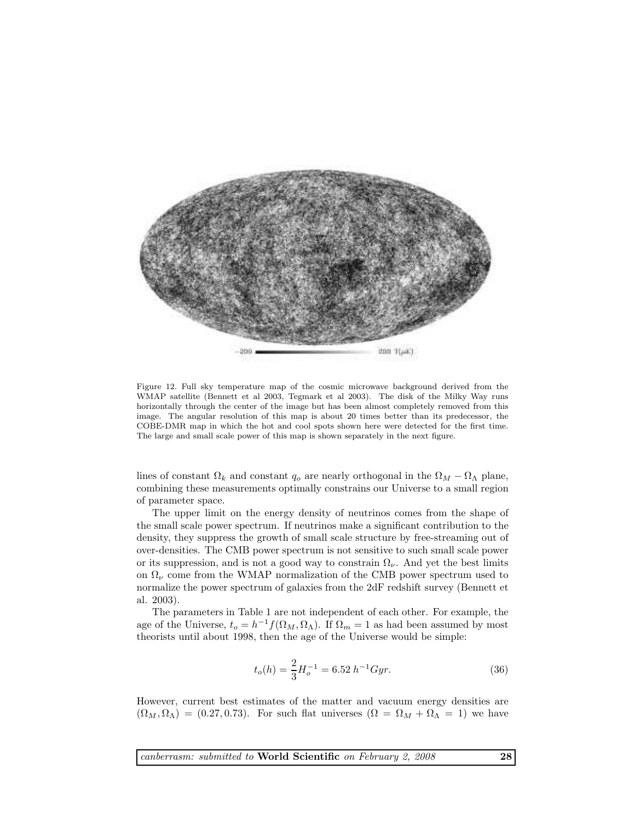

Figure 12. Full sky temperature map of the cosmic microwave background derived from the WMAP satellite (Bennett et al 2003, Tegmark et al 2003). The disk of the Milky Way runs horizontally through the center of the image but has been almost completely removed from this image. The angular resolution of this map is about 20 times better than its predecessor, the COBE-DMR map in which the hot and cool spots shown here were detected for the first time. The large and small scale power of this map is shown separately in the next figure.

<span id="page-27-0"></span>lines of constant  $\Omega_k$  and constant  $q_o$  are nearly orthogonal in the  $\Omega_M - \Omega_\Lambda$  plane, combining these measurements optimally constrains our Universe to a small region of parameter space.

The upper limit on the energy density of neutrinos comes from the shape of the small scale power spectrum. If neutrinos make a significant contribution to the density, they suppress the growth of small scale structure by free-streaming out of over-densities. The CMB power spectrum is not sensitive to such small scale power or its suppression, and is not a good way to constrain  $\Omega_{\nu}$ . And yet the best limits on  $\Omega_{\nu}$  come from the WMAP normalization of the CMB power spectrum used to normalize the power spectrum of galaxies from the 2dF redshift survey (Bennett et al. 2003).

The parameters in Table 1 are not independent of each other. For example, the age of the Universe,  $t_o = h^{-1} f(\Omega_M, \Omega_\Lambda)$ . If  $\Omega_m = 1$  as had been assumed by most theorists until about 1998, then the age of the Universe would be simple:

$$
t_o(h) = \frac{2}{3} H_o^{-1} = 6.52 h^{-1} Gyr.
$$
 (36)

However, current best estimates of the matter and vacuum energy densities are  $(\Omega_M, \Omega_\Lambda) = (0.27, 0.73)$ . For such flat universes  $(\Omega = \Omega_M + \Omega_\Lambda = 1)$  we have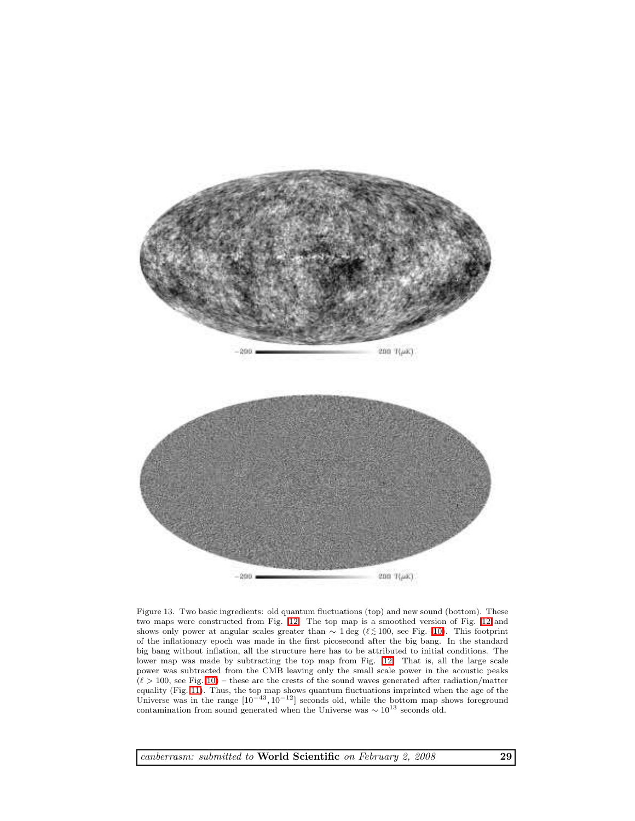

<span id="page-28-0"></span>Figure 13. Two basic ingredients: old quantum fluctuations (top) and new sound (bottom). These two maps were constructed from Fig. [12.](#page-27-0) The top map is a smoothed version of Fig. [12](#page-27-0) and shows only power at angular scales greater than  $\sim 1 \text{ deg } (\ell \lesssim 100, \text{ see Fig. 10}).$  This footprint of the inflationary epoch was made in the first picosecond after the big bang. In the standard big bang without inflation, all the structure here has to be attributed to initial conditions. The lower map was made by subtracting the top map from Fig. [12.](#page-27-0) That is, all the large scale power was subtracted from the CMB leaving only the small scale power in the acoustic peaks  $(\ell > 100, \text{ see Fig. 10})$  – these are the crests of the sound waves generated after radiation/matter equality (Fig. [11\)](#page-26-0). Thus, the top map shows quantum fluctuations imprinted when the age of the Universe was in the range  $[10^{-43}, 10^{-12}]$  seconds old, while the bottom map shows foreground contamination from sound generated when the Universe was  $\sim 10^{13}$  seconds old.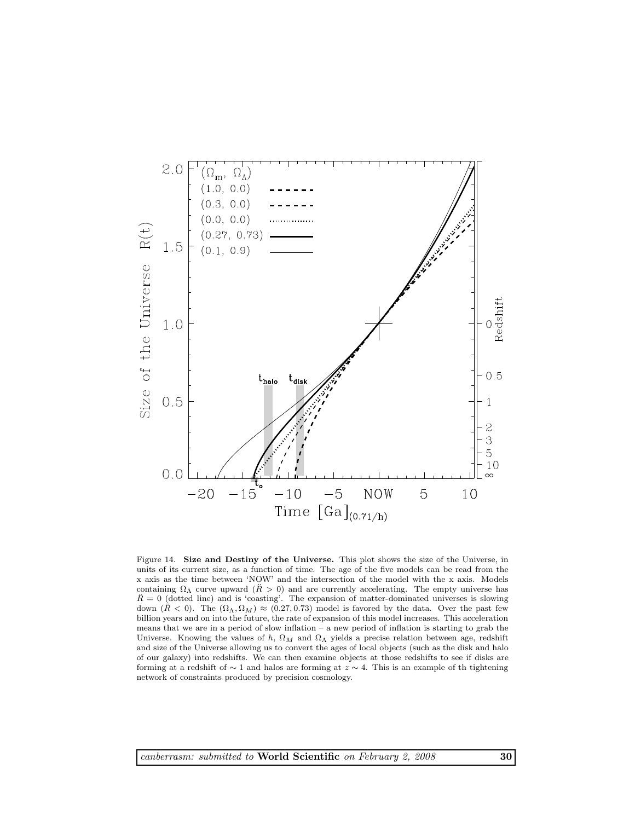

Figure 14. Size and Destiny of the Universe. This plot shows the size of the Universe, in units of its current size, as a function of time. The age of the five models can be read from the x axis as the time between 'NOW' and the intersection of the model with the x axis. Models containing  $\Omega_{\Lambda}$  curve upward  $(R > 0)$  and are currently accelerating. The empty universe has  $\ddot{R} = 0$  (dotted line) and is 'coasting'. The expansion of matter-dominated universes is slowing down  $(R < 0)$ . The  $(\Omega_{\Lambda}, \Omega_M) \approx (0.27, 0.73)$  model is favored by the data. Over the past few billion years and on into the future, the rate of expansion of this model increases. This acceleration means that we are in a period of slow inflation – a new period of inflation is starting to grab the Universe. Knowing the values of h,  $\Omega_M$  and  $\Omega_{\Lambda}$  yields a precise relation between age, redshift and size of the Universe allowing us to convert the ages of local objects (such as the disk and halo of our galaxy) into redshifts. We can then examine objects at those redshifts to see if disks are forming at a redshift of  $\sim 1$  and halos are forming at  $z \sim 4$ . This is an example of th tightening network of constraints produced by precision cosmology.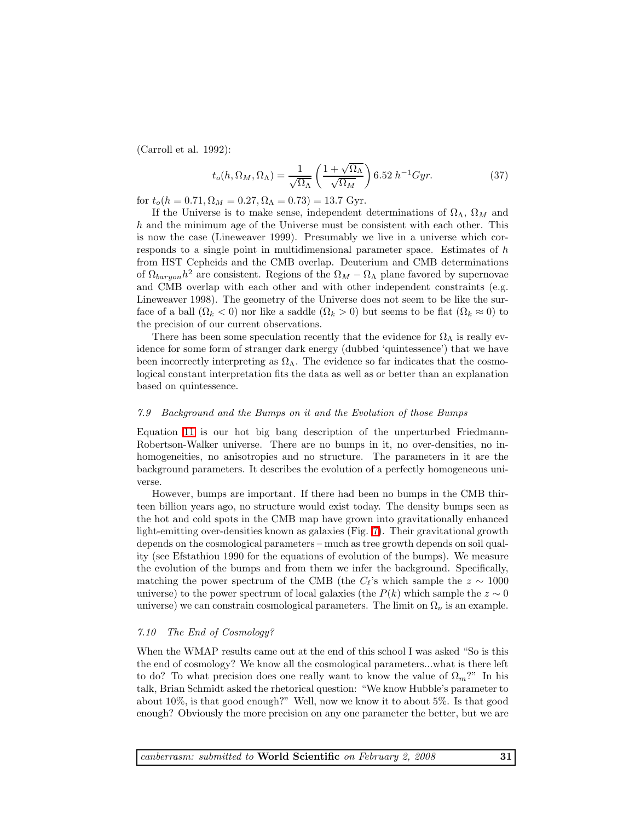(Carroll et al. 1992):

$$
t_o(h, \Omega_M, \Omega_\Lambda) = \frac{1}{\sqrt{\Omega_\Lambda}} \left( \frac{1 + \sqrt{\Omega_\Lambda}}{\sqrt{\Omega_M}} \right) 6.52 h^{-1} Gyr.
$$
 (37)

for  $t_o(h = 0.71, \Omega_M = 0.27, \Omega_\Lambda = 0.73) = 13.7$  Gyr.

If the Universe is to make sense, independent determinations of  $\Omega_{\Lambda}$ ,  $\Omega_{M}$  and h and the minimum age of the Universe must be consistent with each other. This is now the case (Lineweaver 1999). Presumably we live in a universe which corresponds to a single point in multidimensional parameter space. Estimates of h from HST Cepheids and the CMB overlap. Deuterium and CMB determinations of  $\Omega_{baryon}h^2$  are consistent. Regions of the  $\Omega_M - \Omega_{\Lambda}$  plane favored by supernovae and CMB overlap with each other and with other independent constraints (e.g. Lineweaver 1998). The geometry of the Universe does not seem to be like the surface of a ball  $(\Omega_k < 0)$  nor like a saddle  $(\Omega_k > 0)$  but seems to be flat  $(\Omega_k \approx 0)$  to the precision of our current observations.

There has been some speculation recently that the evidence for  $\Omega_{\Lambda}$  is really evidence for some form of stranger dark energy (dubbed 'quintessence') that we have been incorrectly interpreting as  $\Omega_{\Lambda}$ . The evidence so far indicates that the cosmological constant interpretation fits the data as well as or better than an explanation based on quintessence.

#### *7.9 Background and the Bumps on it and the Evolution of those Bumps*

Equation [11](#page-8-0) is our hot big bang description of the unperturbed Friedmann-Robertson-Walker universe. There are no bumps in it, no over-densities, no inhomogeneities, no anisotropies and no structure. The parameters in it are the background parameters. It describes the evolution of a perfectly homogeneous universe.

However, bumps are important. If there had been no bumps in the CMB thirteen billion years ago, no structure would exist today. The density bumps seen as the hot and cold spots in the CMB map have grown into gravitationally enhanced light-emitting over-densities known as galaxies (Fig. [7\)](#page-15-0). Their gravitational growth depends on the cosmological parameters – much as tree growth depends on soil quality (see Efstathiou 1990 for the equations of evolution of the bumps). We measure the evolution of the bumps and from them we infer the background. Specifically, matching the power spectrum of the CMB (the  $C_{\ell}$ 's which sample the  $z \sim 1000$ universe) to the power spectrum of local galaxies (the  $P(k)$  which sample the  $z \sim 0$ universe) we can constrain cosmological parameters. The limit on  $\Omega_{\nu}$  is an example.

#### *7.10 The End of Cosmology?*

When the WMAP results came out at the end of this school I was asked "So is this the end of cosmology? We know all the cosmological parameters...what is there left to do? To what precision does one really want to know the value of  $\Omega_m$ ?" In his talk, Brian Schmidt asked the rhetorical question: "We know Hubble's parameter to about 10%, is that good enough?" Well, now we know it to about 5%. Is that good enough? Obviously the more precision on any one parameter the better, but we are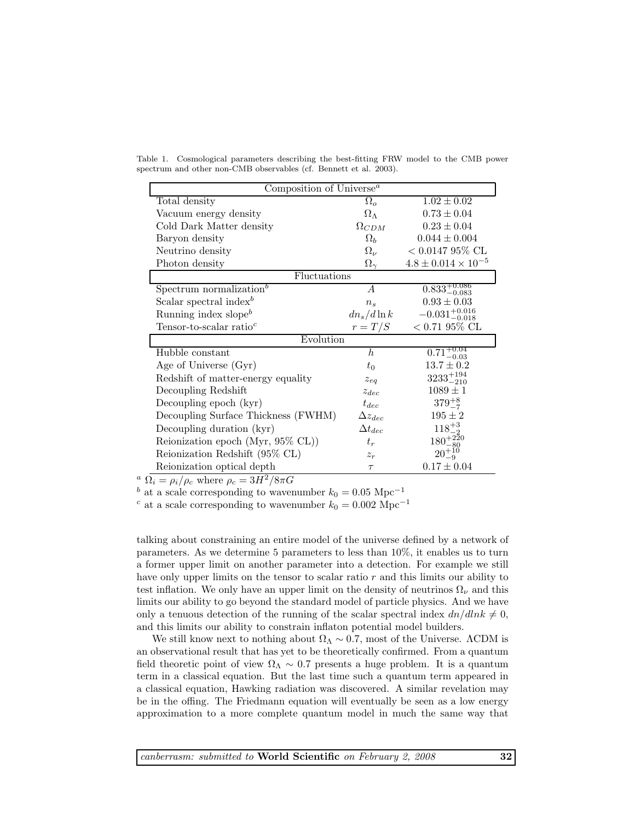| Composition of Universe <sup><math>a</math></sup> |                    |                                |
|---------------------------------------------------|--------------------|--------------------------------|
| Total density                                     | $\Omega_{\alpha}$  | $1.02 \pm 0.02$                |
| Vacuum energy density                             | $\Omega_{\Lambda}$ | $0.73 \pm 0.04$                |
| Cold Dark Matter density                          | $\Omega_{CDM}$     | $0.23 \pm 0.04$                |
| Baryon density                                    | $\Omega_h$         | $0.044 \pm 0.004$              |
| Neutrino density                                  | $\Omega_{\nu}$     | $< 0.014795\%$ CL              |
| Photon density                                    | $\Omega_{\gamma}$  | $4.8 \pm 0.014 \times 10^{-5}$ |
| Fluctuations                                      |                    |                                |
| Spectrum normalization <sup><math>b</math></sup>  | A                  | $0.833_{-0.083}^{+0.086}$      |
| Scalar spectral index <sup>b</sup>                | $n_{s}$            | $0.93 \pm 0.03$                |
| Running index slope <sup>b</sup>                  | $dn_s/d\ln k$      | $-0.031_{-0.018}^{+0.016}$     |
| $Tensor-to-scalar ratioc$                         | $r = T/S$          | $< 0.71$ 95% CL                |
| Evolution                                         |                    |                                |
| Hubble constant                                   | $\hbar$            | $0.71^{+0.04}_{-0.03}$         |
| Age of Universe (Gyr)                             | $t_0$              | $13.7 \pm 0.2$                 |
| Redshift of matter-energy equality                | $z_{eq}$           | $3233^{+194}_{-210}$           |
| Decoupling Redshift                               | $z_{dec}$          | $1089 \pm 1$                   |
| Decoupling epoch (kyr)                            | $t_{dec}$          | $379^{+8}_{-7}$                |
| Decoupling Surface Thickness (FWHM)               | $\Delta z_{dec}$   | $195 \pm 2$                    |
| Decoupling duration (kyr)                         | $\Delta t_{dec}$   | $118^{+3}_{-2}$                |
| Reionization epoch (Myr, $95\%$ CL))              | $t_r$              | $180^{+220}_{-80}$             |
| Reionization Redshift (95% CL)                    | $z_r$              | $20^{+10}$                     |
| Reionization optical depth                        | $\tau$             | $0.17 \pm 0.04$                |

Table 1. Cosmological parameters describing the best-fitting FRW model to the CMB power spectrum and other non-CMB observables (cf. Bennett et al. 2003).

<sup>a</sup>  $\Omega_i = \rho_i / \rho_c$  where  $\rho_c = 3H^2 / 8\pi G$ 

 $^b$  at a scale corresponding to wavenumber  $k_0 = 0.05 \mathrm{~Mpc}{^{-1}}$ 

<sup>c</sup> at a scale corresponding to wavenumber  $k_0 = 0.002$  Mpc<sup>-1</sup>

talking about constraining an entire model of the universe defined by a network of parameters. As we determine 5 parameters to less than 10%, it enables us to turn a former upper limit on another parameter into a detection. For example we still have only upper limits on the tensor to scalar ratio  $r$  and this limits our ability to test inflation. We only have an upper limit on the density of neutrinos  $\Omega_{\nu}$  and this limits our ability to go beyond the standard model of particle physics. And we have only a tenuous detection of the running of the scalar spectral index  $dn/dln k \neq 0$ , and this limits our ability to constrain inflaton potential model builders.

We still know next to nothing about  $\Omega_{\Lambda} \sim 0.7$ , most of the Universe. ACDM is an observational result that has yet to be theoretically confirmed. From a quantum field theoretic point of view  $\Omega_{\Lambda} \sim 0.7$  presents a huge problem. It is a quantum term in a classical equation. But the last time such a quantum term appeared in a classical equation, Hawking radiation was discovered. A similar revelation may be in the offing. The Friedmann equation will eventually be seen as a low energy approximation to a more complete quantum model in much the same way that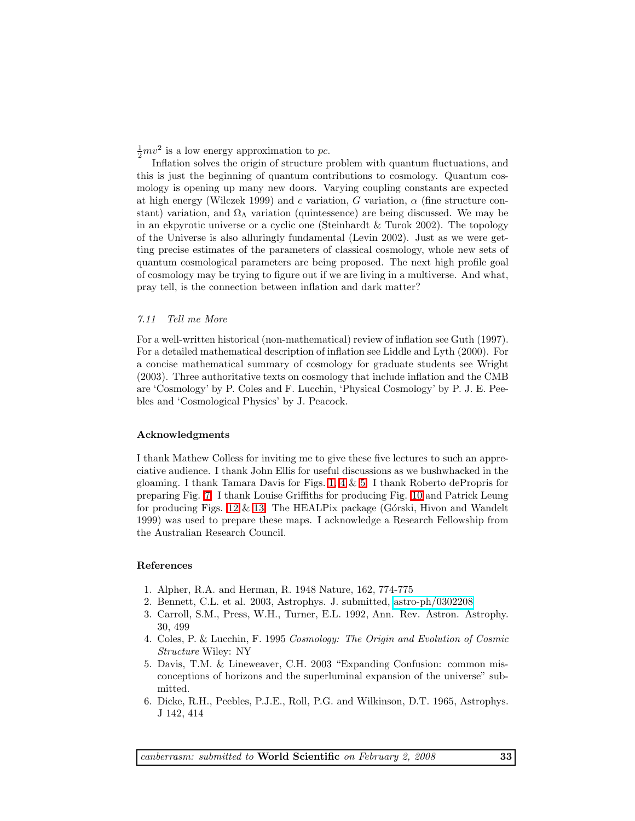$\frac{1}{2}mv^2$  is a low energy approximation to pc.

Inflation solves the origin of structure problem with quantum fluctuations, and this is just the beginning of quantum contributions to cosmology. Quantum cosmology is opening up many new doors. Varying coupling constants are expected at high energy (Wilczek 1999) and c variation, G variation,  $\alpha$  (fine structure constant) variation, and  $\Omega_{\Lambda}$  variation (quintessence) are being discussed. We may be in an ekpyrotic universe or a cyclic one (Steinhardt & Turok 2002). The topology of the Universe is also alluringly fundamental (Levin 2002). Just as we were getting precise estimates of the parameters of classical cosmology, whole new sets of quantum cosmological parameters are being proposed. The next high profile goal of cosmology may be trying to figure out if we are living in a multiverse. And what, pray tell, is the connection between inflation and dark matter?

# *7.11 Tell me More*

For a well-written historical (non-mathematical) review of inflation see Guth (1997). For a detailed mathematical description of inflation see Liddle and Lyth (2000). For a concise mathematical summary of cosmology for graduate students see Wright (2003). Three authoritative texts on cosmology that include inflation and the CMB are 'Cosmology' by P. Coles and F. Lucchin, 'Physical Cosmology' by P. J. E. Peebles and 'Cosmological Physics' by J. Peacock.

#### Acknowledgments

I thank Mathew Colless for inviting me to give these five lectures to such an appreciative audience. I thank John Ellis for useful discussions as we bushwhacked in the gloaming. I thank Tamara Davis for Figs. [1,](#page-5-0) [4](#page-12-0) & [5.](#page-12-1) I thank Roberto dePropris for preparing Fig. [7.](#page-15-0) I thank Louise Griffiths for producing Fig. [10](#page-24-0) and Patrick Leung for producing Figs.  $12 \& 13$ . The HEALPix package (Górski, Hivon and Wandelt 1999) was used to prepare these maps. I acknowledge a Research Fellowship from the Australian Research Council.

#### References

- 1. Alpher, R.A. and Herman, R. 1948 Nature, 162, 774-775
- 2. Bennett, C.L. et al. 2003, Astrophys. J. submitted, [astro-ph/0302208](http://arXiv.org/abs/astro-ph/0302208)
- 3. Carroll, S.M., Press, W.H., Turner, E.L. 1992, Ann. Rev. Astron. Astrophy. 30, 499
- 4. Coles, P. & Lucchin, F. 1995 *Cosmology: The Origin and Evolution of Cosmic Structure* Wiley: NY
- 5. Davis, T.M. & Lineweaver, C.H. 2003 "Expanding Confusion: common misconceptions of horizons and the superluminal expansion of the universe" submitted.
- 6. Dicke, R.H., Peebles, P.J.E., Roll, P.G. and Wilkinson, D.T. 1965, Astrophys. J 142, 414